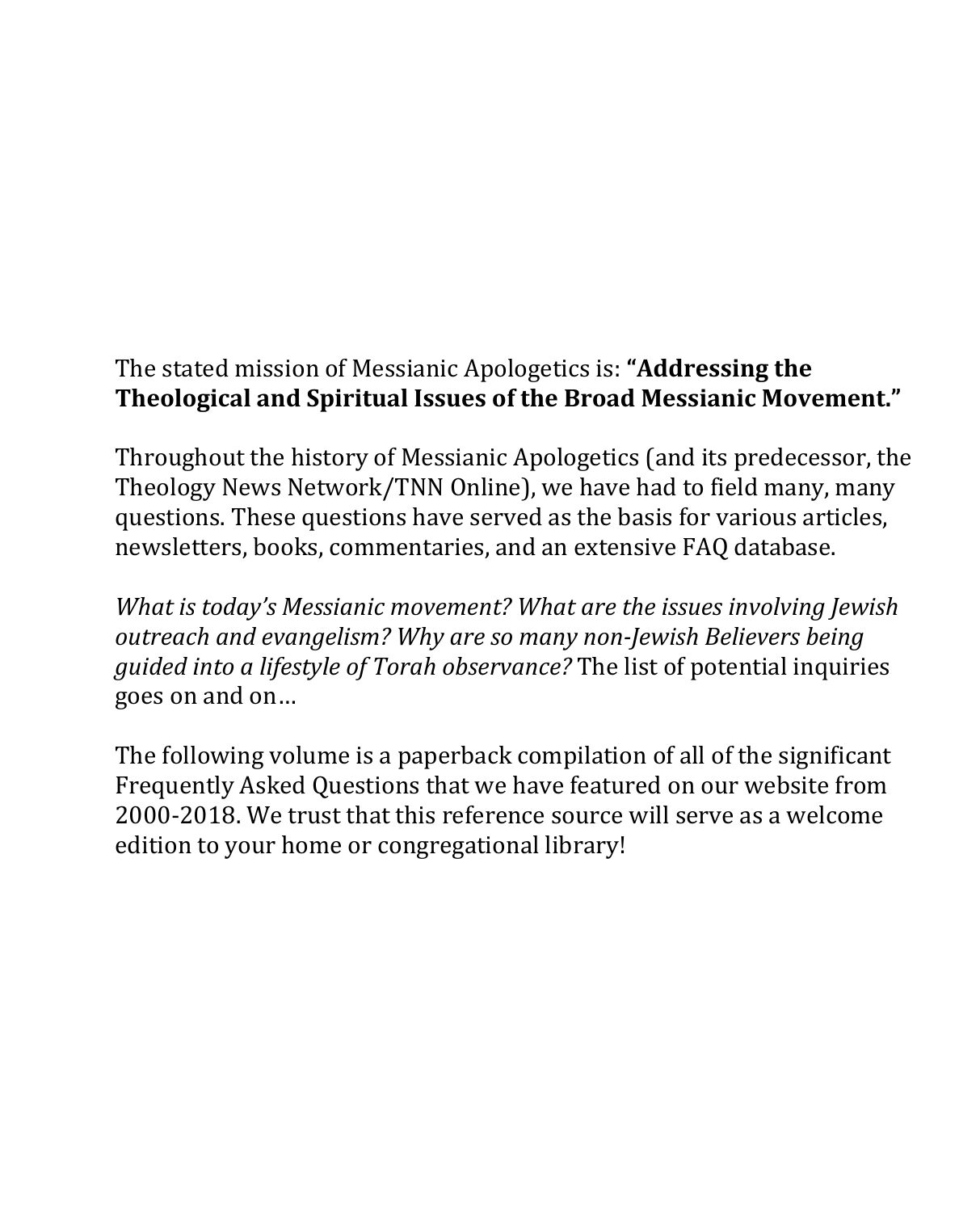## The stated mission of Messianic Apologetics is: **"Addressing the Theological and Spiritual Issues of the Broad Messianic Movement."**

Throughout the history of Messianic Apologetics (and its predecessor, the Theology News Network/TNN Online), we have had to field many, many questions. These questions have served as the basis for various articles, newsletters, books, commentaries, and an extensive FAQ database.

*What is today's Messianic movement? What are the issues involving Jewish outreach and evangelism? Why are so many non-Jewish Believers being guided into a lifestyle of Torah observance?* The list of potential inquiries goes on and on…

The following volume is a paperback compilation of all of the significant Frequently Asked Questions that we have featured on our website from 2000-2018. We trust that this reference source will serve as a welcome edition to your home or congregational library!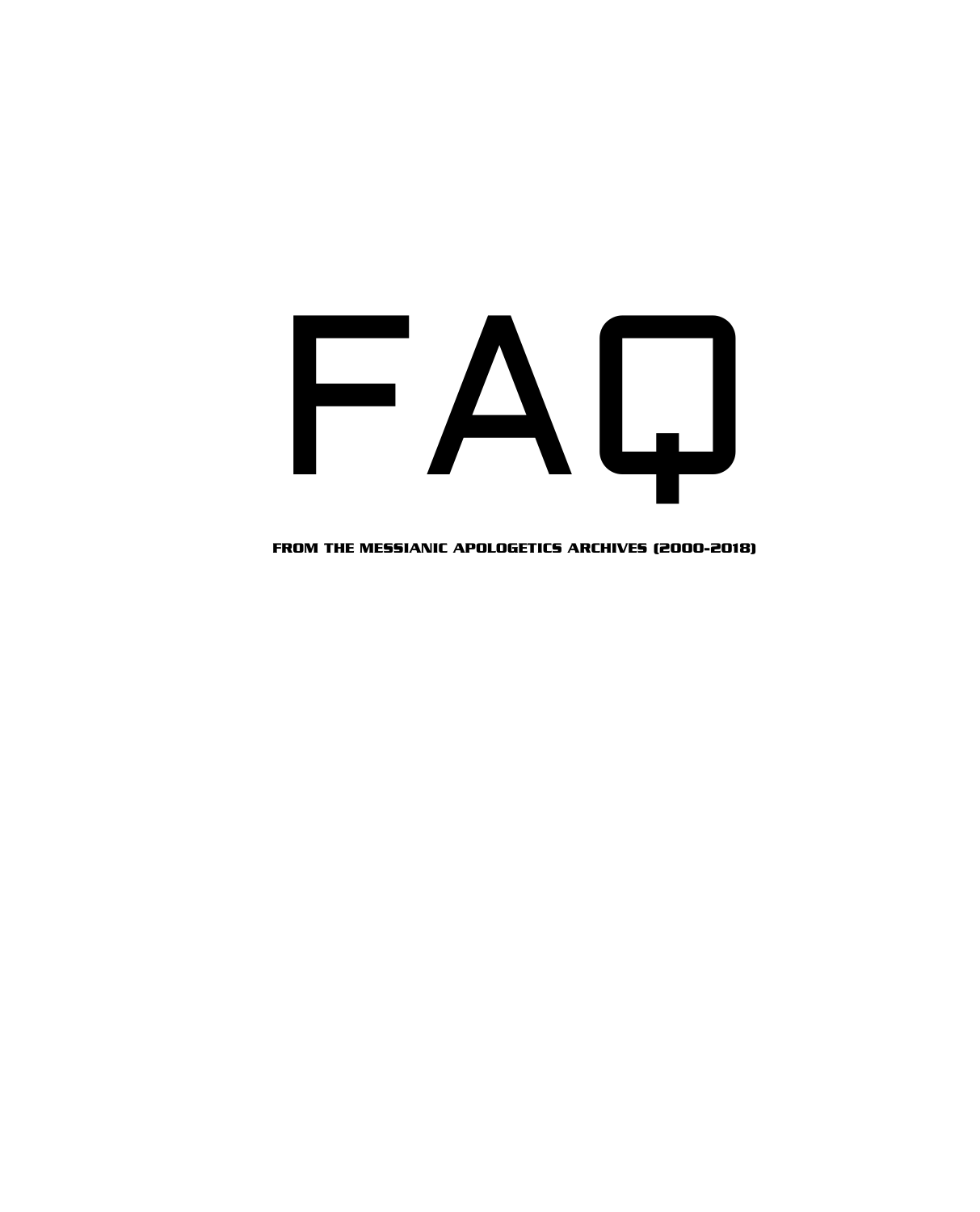# FAQ

FROM THE MESSIANIC APOLOGETICS ARCHIVES (2000-2018)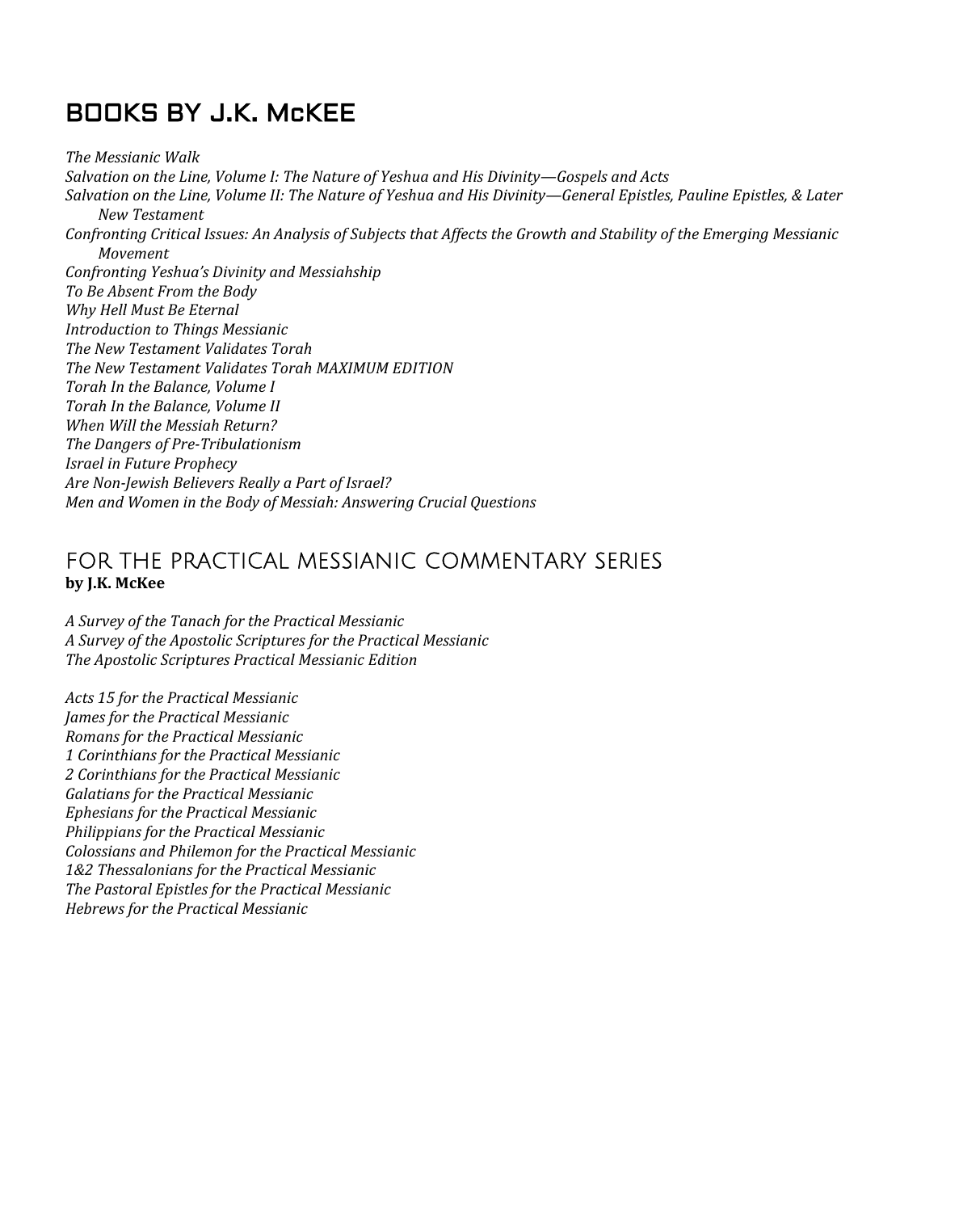## BOOKS BY J.K. McKEE

*The Messianic Walk Salvation on the Line, Volume I: The Nature of Yeshua and His Divinity—Gospels and Acts Salvation on the Line, Volume II: The Nature of Yeshua and His Divinity—General Epistles, Pauline Epistles, & Later New Testament Confronting Critical Issues: An Analysis of Subjects that Affects the Growth and Stability of the Emerging Messianic Movement Confronting Yeshua's Divinity and Messiahship To Be Absent From the Body Why Hell Must Be Eternal Introduction to Things Messianic The New Testament Validates Torah The New Testament Validates Torah MAXIMUM EDITION Torah In the Balance, Volume I Torah In the Balance, Volume II When Will the Messiah Return? The Dangers of Pre-Tribulationism Israel in Future Prophecy Are Non-Jewish Believers Really a Part of Israel? Men and Women in the Body of Messiah: Answering Crucial Questions* 

### FOR THE PRACTICAL MESSIANIC COMMENTARY SERIES **by J.K. McKee**

*A Survey of the Tanach for the Practical Messianic A Survey of the Apostolic Scriptures for the Practical Messianic The Apostolic Scriptures Practical Messianic Edition* 

*Acts 15 for the Practical Messianic James for the Practical Messianic Romans for the Practical Messianic 1 Corinthians for the Practical Messianic 2 Corinthians for the Practical Messianic Galatians for the Practical Messianic Ephesians for the Practical Messianic Philippians for the Practical Messianic Colossians and Philemon for the Practical Messianic 1&2 Thessalonians for the Practical Messianic The Pastoral Epistles for the Practical Messianic Hebrews for the Practical Messianic*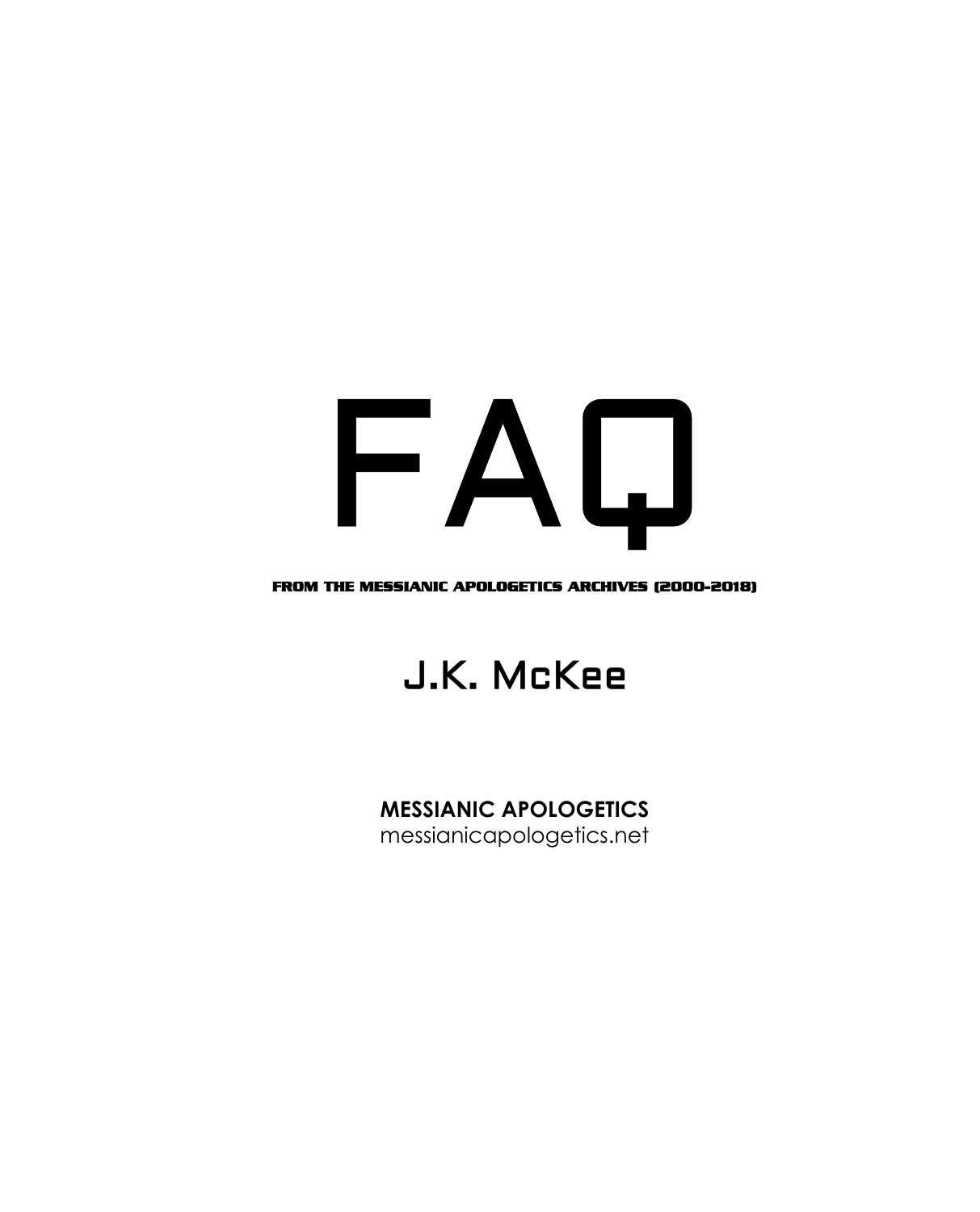# FAQ

#### FROM THE MESSIANIC APOLOGETICS ARCHIVES (2000-2018)

## J.K. McKee

## **MESSIANIC APOLOGETICS**

messianicapologetics.net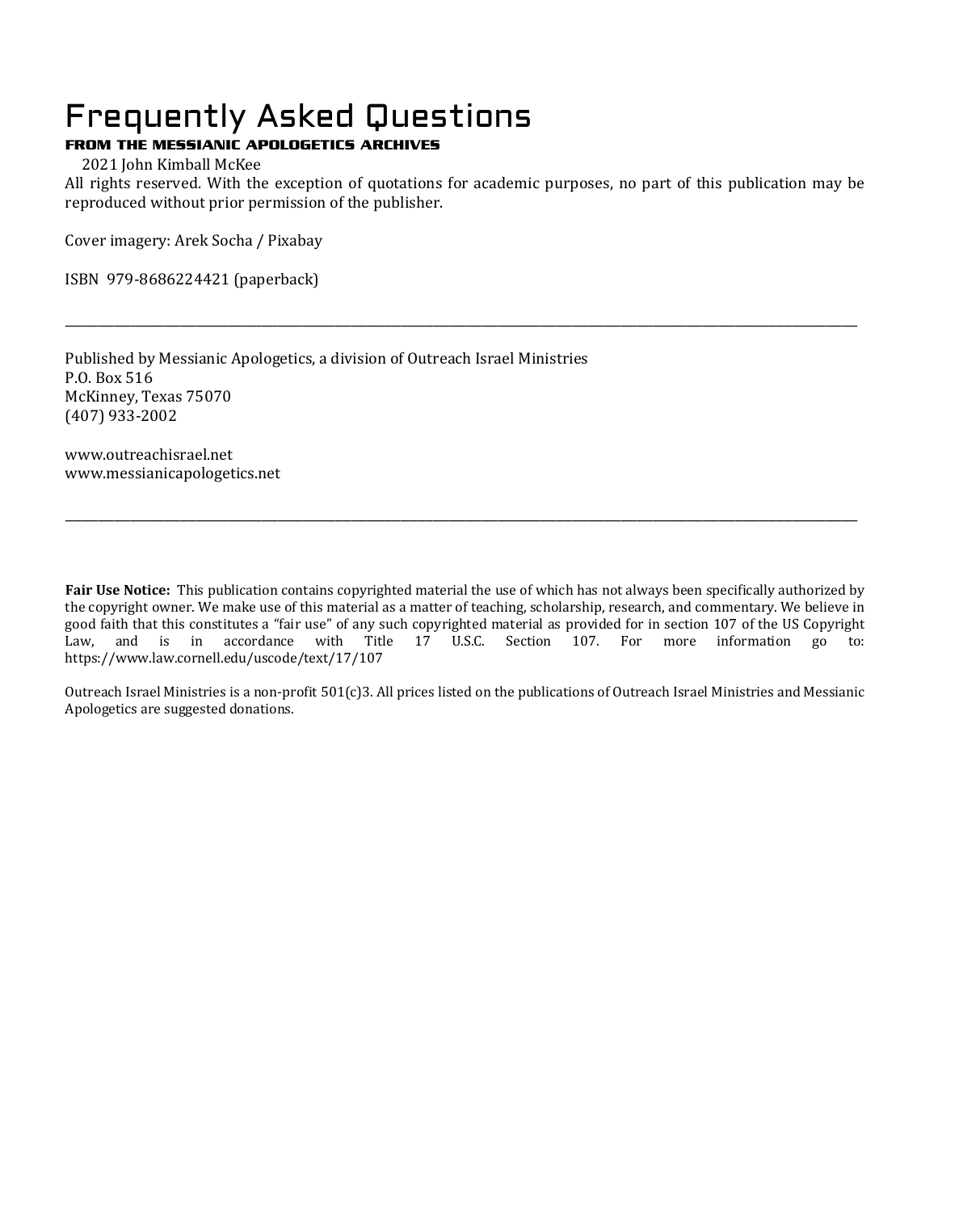## Frequently Asked Questions

#### FROM THE MESSIANIC APOLOGETICS ARCHIVES

2021 John Kimball McKee

All rights reserved. With the exception of quotations for academic purposes, no part of this publication may be reproduced without prior permission of the publisher.

\_\_\_\_\_\_\_\_\_\_\_\_\_\_\_\_\_\_\_\_\_\_\_\_\_\_\_\_\_\_\_\_\_\_\_\_\_\_\_\_\_\_\_\_\_\_\_\_\_\_\_\_\_\_\_\_\_\_\_\_\_\_\_\_\_\_\_\_\_\_\_\_\_\_\_\_\_\_\_\_\_\_\_\_\_\_\_\_\_\_\_\_\_\_\_\_\_

Cover imagery: Arek Socha / Pixabay

ISBN 979-8686224421 (paperback)

Published by Messianic Apologetics, a division of Outreach Israel Ministries P.O. Box 516 McKinney, Texas 75070 (407) 933-2002

www.outreachisrael.net www.messianicapologetics.net

**Fair Use Notice:** This publication contains copyrighted material the use of which has not always been specifically authorized by the copyright owner. We make use of this material as a matter of teaching, scholarship, research, and commentary. We believe in good faith that this constitutes a "fair use" of any such copyrighted material as provided for in section 107 of the US Copyright Law, and is in accordance with Title 17 U.S.C. Section 107. For more information go to: https://www.law.cornell.edu/uscode/text/17/107

\_\_\_\_\_\_\_\_\_\_\_\_\_\_\_\_\_\_\_\_\_\_\_\_\_\_\_\_\_\_\_\_\_\_\_\_\_\_\_\_\_\_\_\_\_\_\_\_\_\_\_\_\_\_\_\_\_\_\_\_\_\_\_\_\_\_\_\_\_\_\_\_\_\_\_\_\_\_\_\_\_\_\_\_\_\_\_\_\_\_\_\_\_\_\_\_\_

Outreach Israel Ministries is a non-profit 501(c)3. All prices listed on the publications of Outreach Israel Ministries and Messianic Apologetics are suggested donations.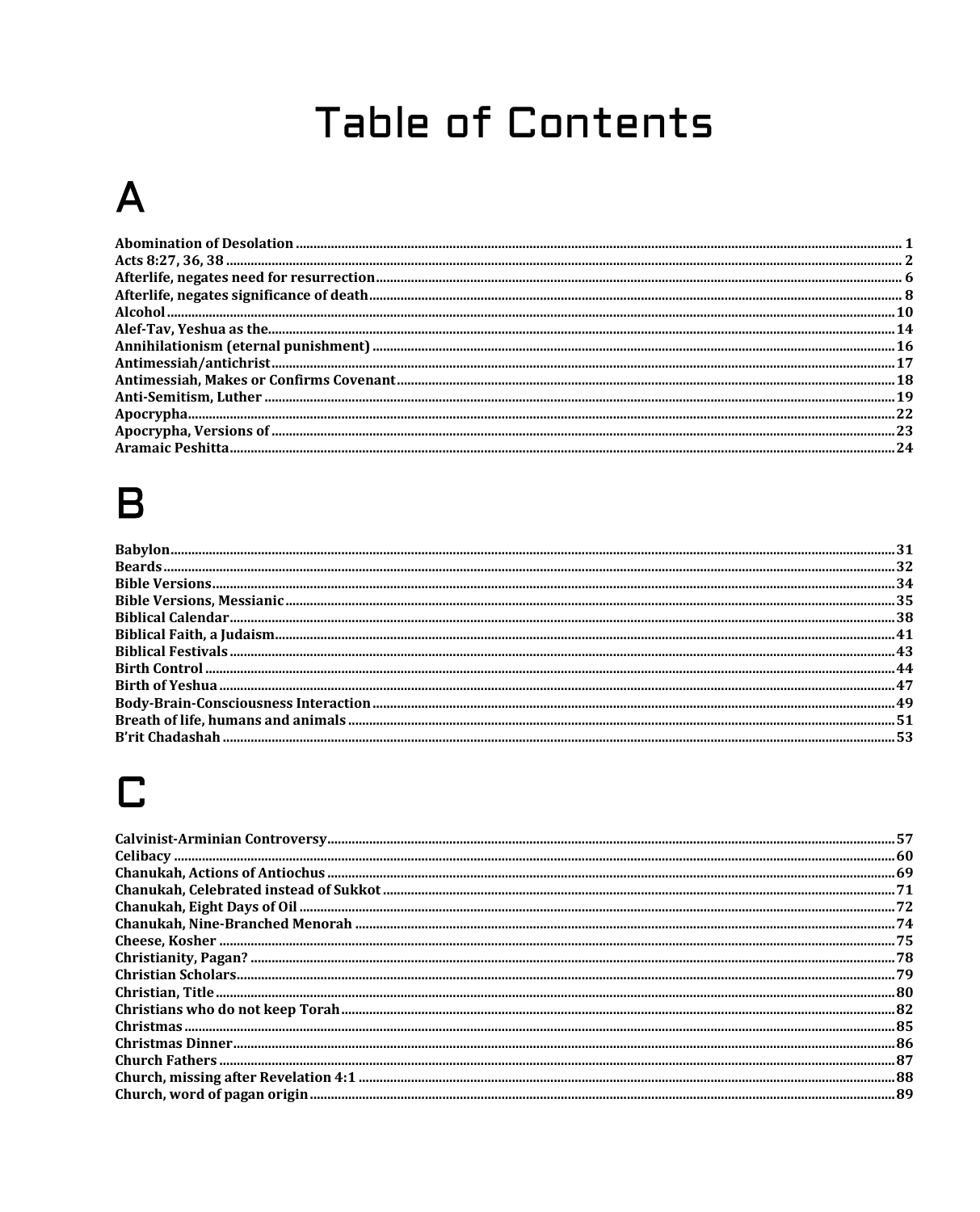# **Table of Contents**

# $\mathbf{A}$

| 24 |
|----|
|    |

# $\overline{\mathsf{B}}$

# $\mathbf C$

| 74 |
|----|
|    |
|    |
|    |
|    |
|    |
|    |
|    |
|    |
|    |
|    |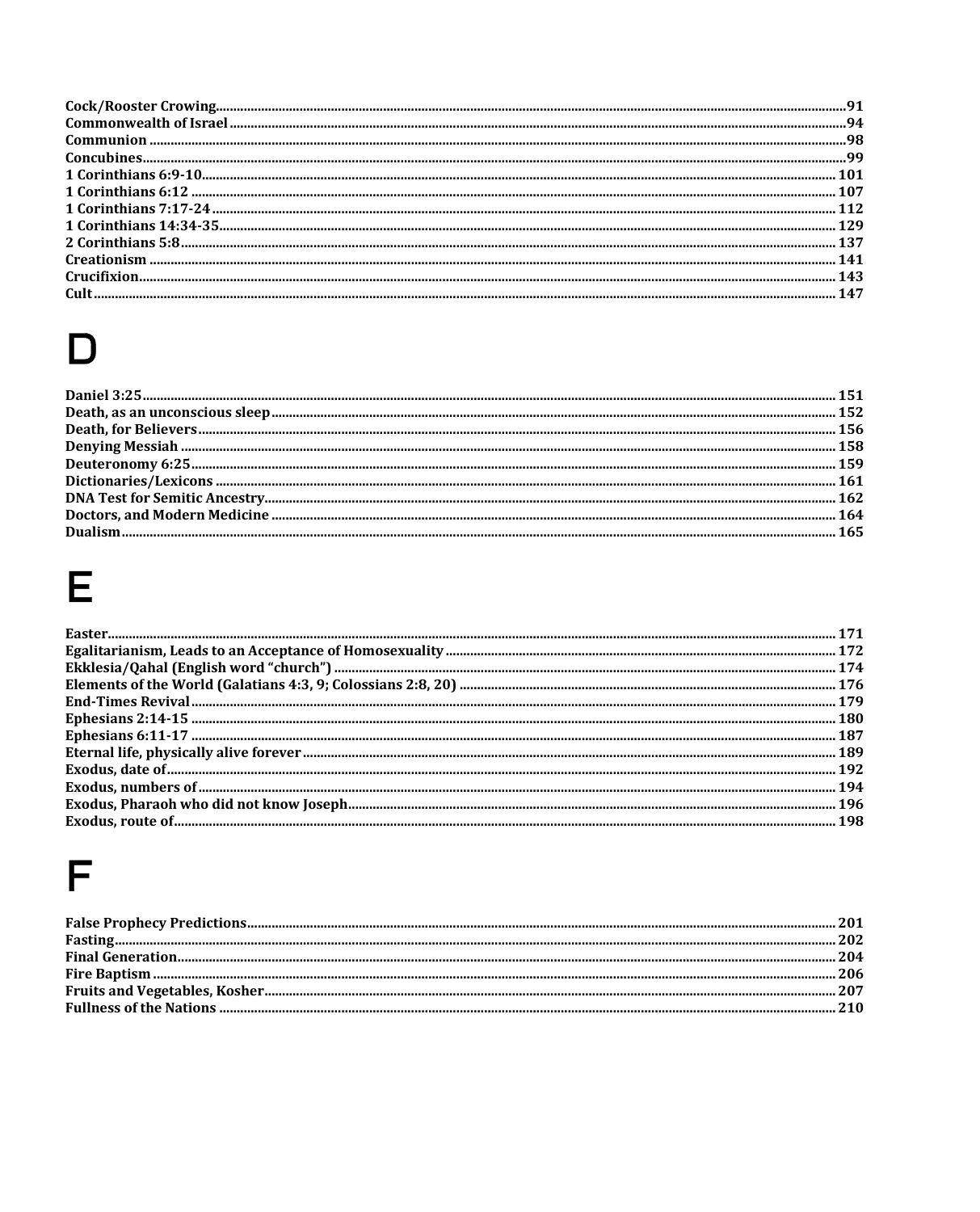| <u>counter the common common common common common common common common common common common common common common</u> | 94  |
|----------------------------------------------------------------------------------------------------------------------|-----|
|                                                                                                                      | -98 |
|                                                                                                                      |     |
|                                                                                                                      |     |
|                                                                                                                      |     |
|                                                                                                                      |     |
|                                                                                                                      |     |
|                                                                                                                      |     |
|                                                                                                                      |     |
|                                                                                                                      |     |
|                                                                                                                      |     |

# $\mathsf{D}%$

# $\mathsf E$

# $\mathsf F$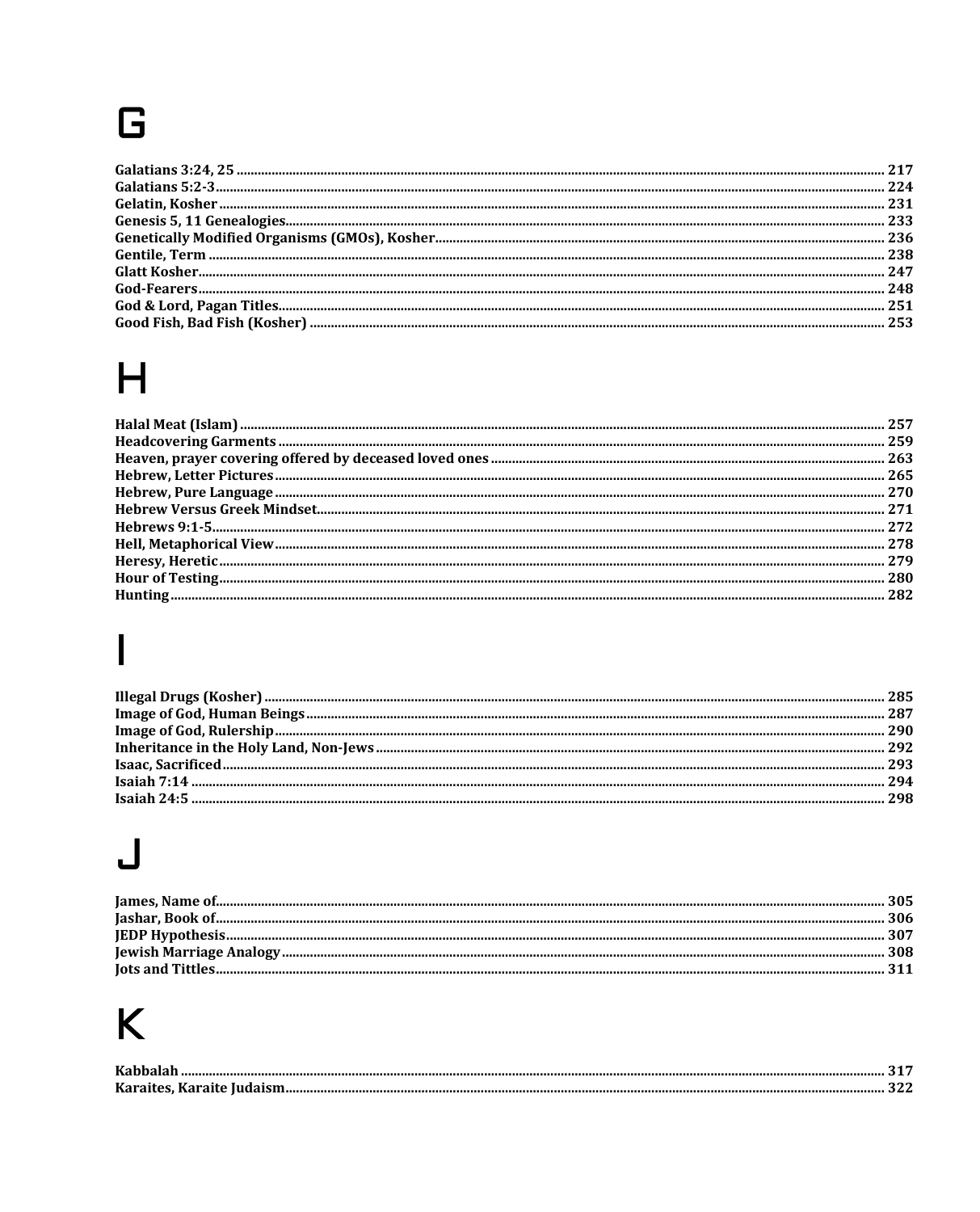# G

| 251 |
|-----|
| 253 |
|     |

# $H$

# $\overline{\mathbf{I}}$

# $\overline{\mathsf{L}}$

# K

| $T Z = T$            |  |
|----------------------|--|
| $\overline{V}$ amain |  |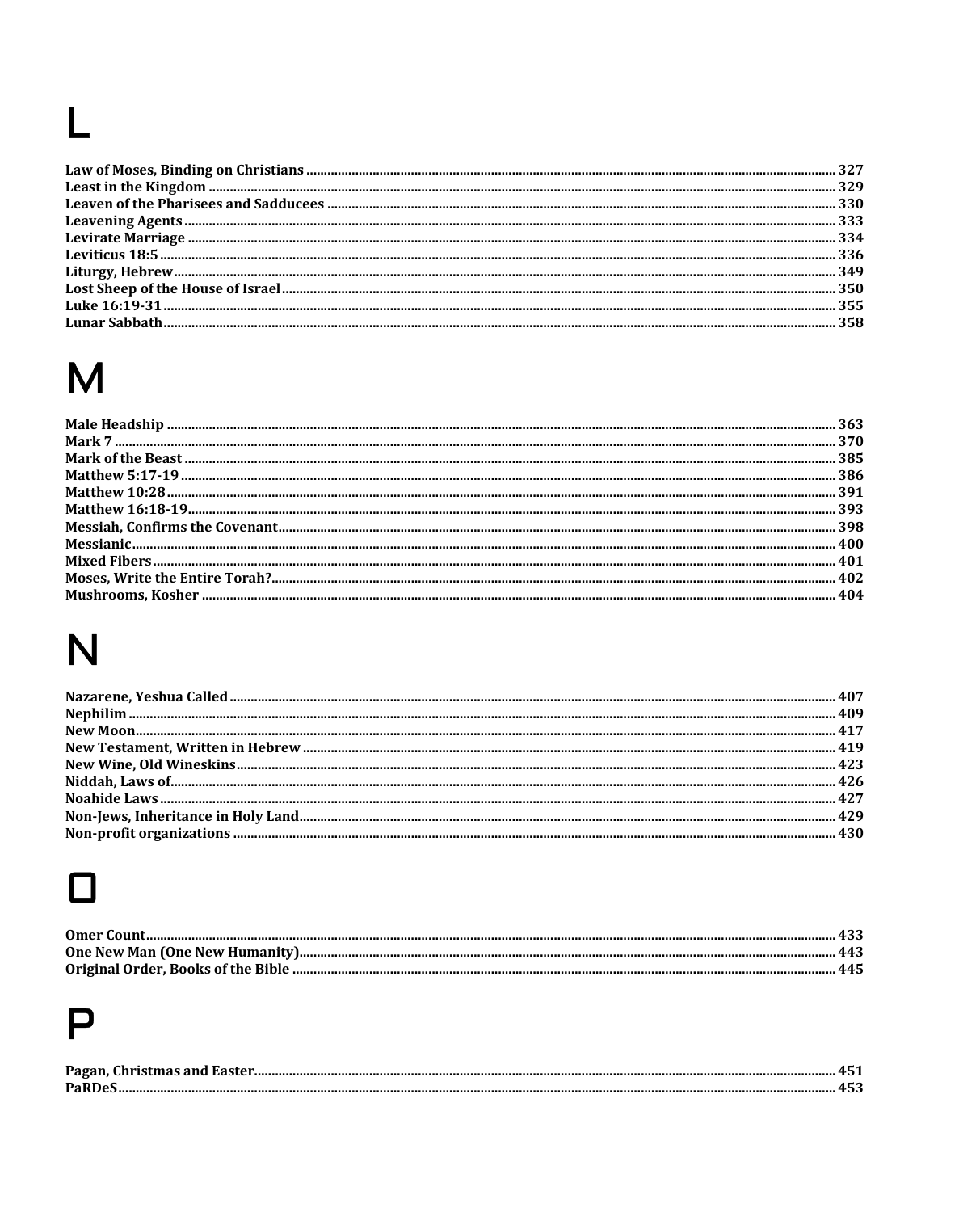# $\mathbf{L}$

# M

# N

# $\Box$

# $\mathsf{P}$

| Pagan |  |
|-------|--|
| PoRD  |  |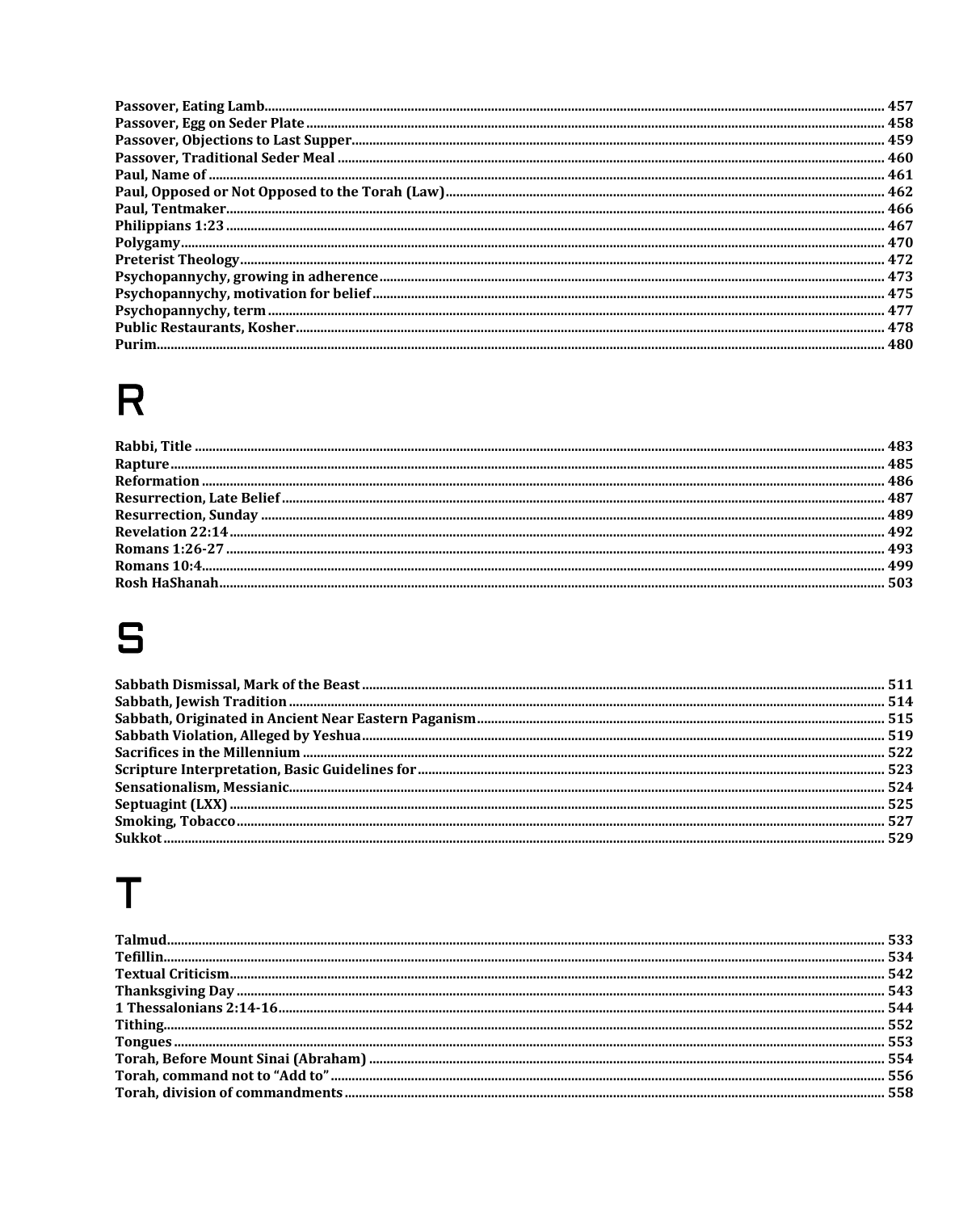| 458   |
|-------|
|       |
|       |
|       |
|       |
|       |
|       |
|       |
|       |
|       |
|       |
|       |
|       |
| . 480 |

# $\pmb{\mathsf{R}}$

# S

# $\top$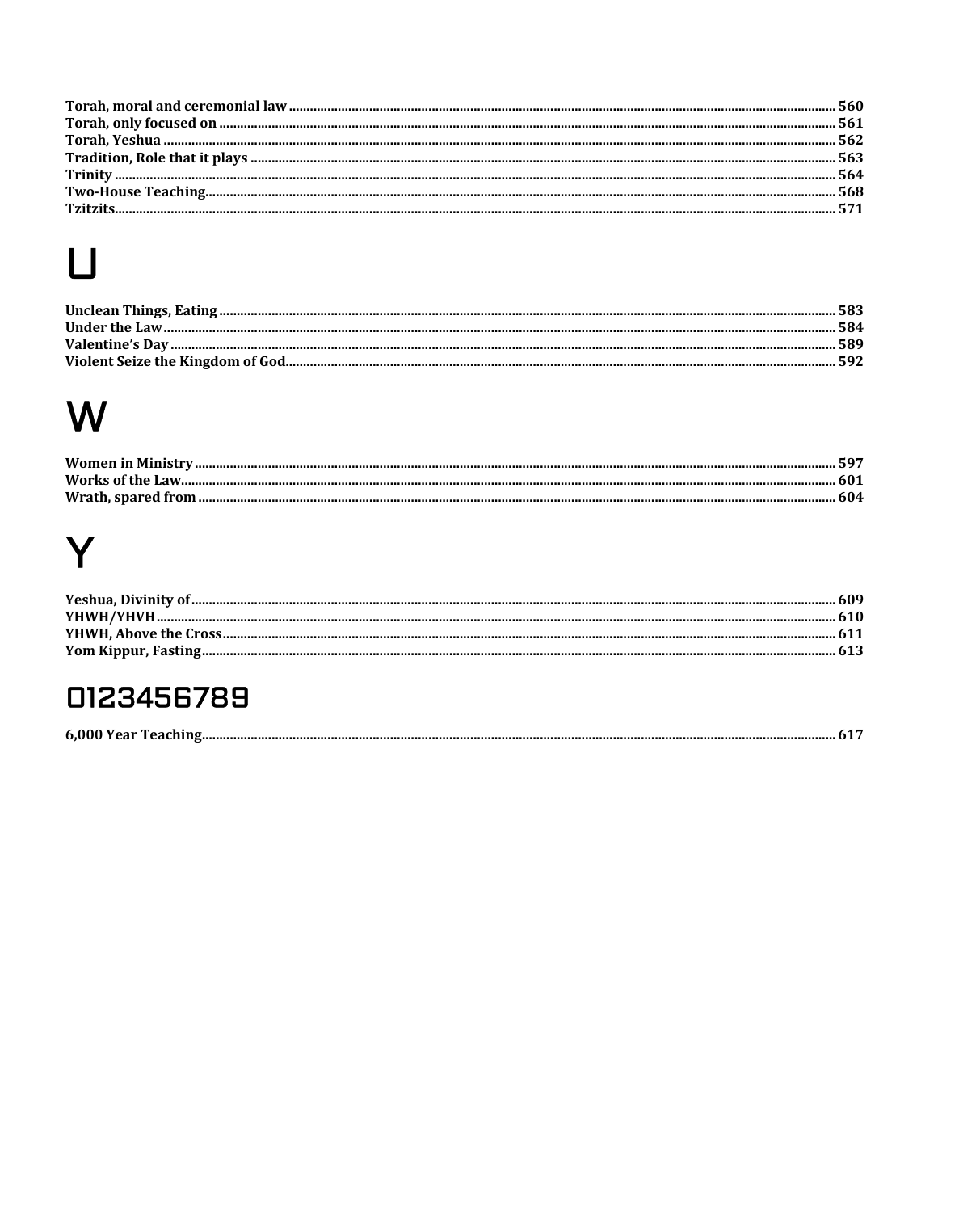# $\mathbf U$

| 592 |
|-----|
|     |

# W

| <b>Women in Ministry.</b> |  |
|---------------------------|--|
|                           |  |
|                           |  |

# Y

## 0123456789

| .6 000 Y<br>ear<br>елі |
|------------------------|
|------------------------|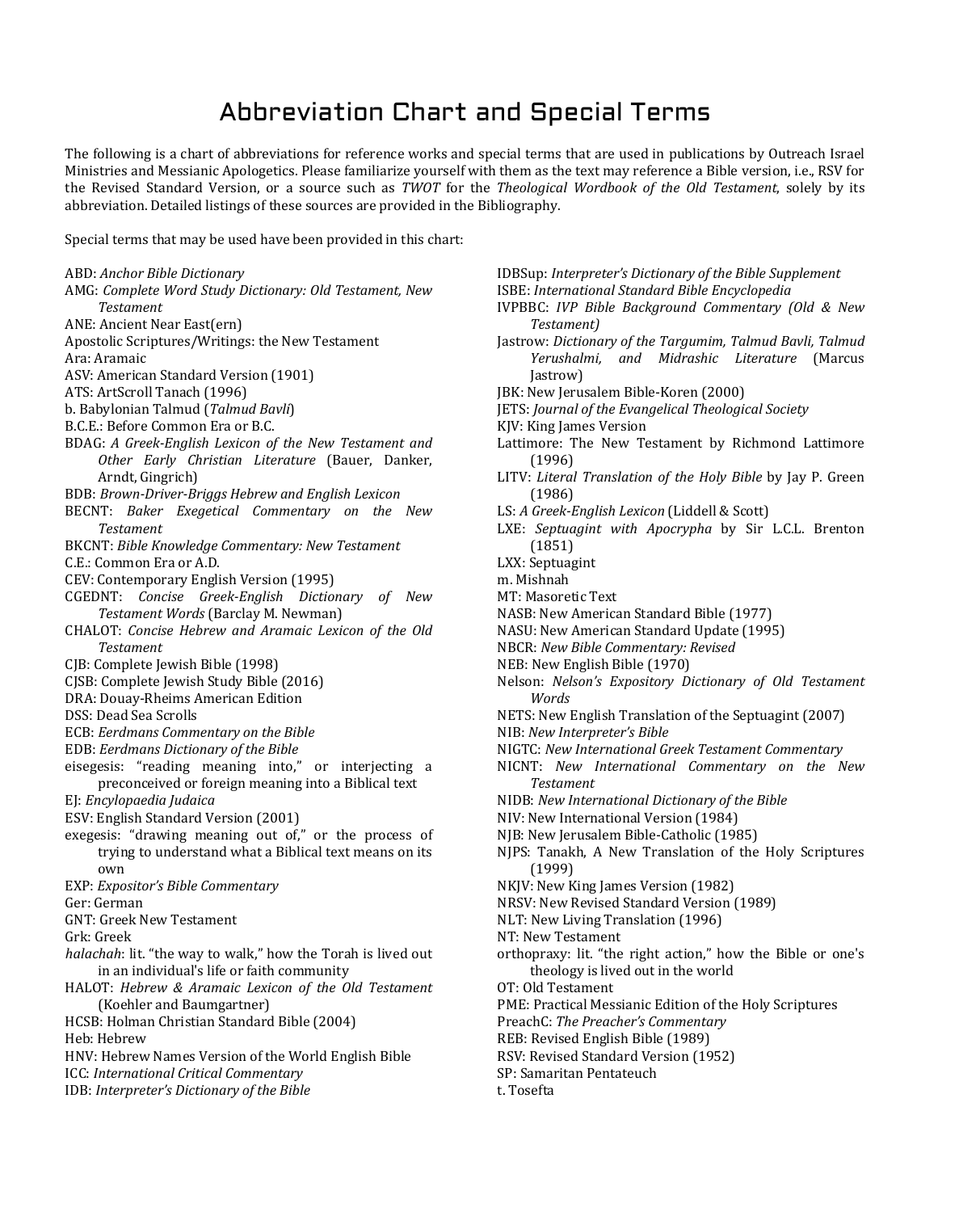## Abbreviation Chart and Special Terms

The following is a chart of abbreviations for reference works and special terms that are used in publications by Outreach Israel Ministries and Messianic Apologetics. Please familiarize yourself with them as the text may reference a Bible version, i.e., RSV for the Revised Standard Version, or a source such as *TWOT* for the *Theological Wordbook of the Old Testament*, solely by its abbreviation. Detailed listings of these sources are provided in the Bibliography.

Special terms that may be used have been provided in this chart:

| ABD: Anchor Bible Dictionary                                 |
|--------------------------------------------------------------|
| AMG: Complete Word Study Dictionary: Old Testament, New      |
| <b>Testament</b>                                             |
| ANE: Ancient Near East(ern)                                  |
| Apostolic Scriptures/Writings: the New Testament             |
| Ara: Aramaic                                                 |
| ASV: American Standard Version (1901)                        |
| ATS: ArtScroll Tanach (1996)                                 |
| b. Babylonian Talmud (Talmud Bayli)                          |
| B.C.E.: Before Common Era or B.C.                            |
| BDAG: A Greek-English Lexicon of the New Testament and       |
| Other Early Christian Literature (Bauer, Danker,             |
| Arndt, Gingrich)                                             |
| BDB: Brown-Driver-Briggs Hebrew and English Lexicon          |
| BECNT: Baker Exegetical Commentary on<br>the New             |
| <b>Testament</b>                                             |
| BKCNT: Bible Knowledge Commentary: New Testament             |
| C.E.: Common Era or A.D.                                     |
| CEV: Contemporary English Version (1995)                     |
| Concise Greek-English Dictionary of New<br>CGEDNT:           |
| Testament Words (Barclay M. Newman)                          |
| CHALOT: Concise Hebrew and Aramaic Lexicon of the Old        |
| <b>Testament</b>                                             |
| CJB: Complete Jewish Bible (1998)                            |
| CJSB: Complete Jewish Study Bible (2016)                     |
| DRA: Douay-Rheims American Edition                           |
| DSS: Dead Sea Scrolls                                        |
| ECB: Eerdmans Commentary on the Bible                        |
| EDB: Eerdmans Dictionary of the Bible                        |
| eisegesis: "reading meaning into," or interjecting<br>a      |
| preconceived or foreign meaning into a Biblical text         |
| EJ: Encylopaedia Judaica                                     |
| ESV: English Standard Version (2001)                         |
| exegesis: "drawing meaning out of," or the process of        |
| trying to understand what a Biblical text means on its       |
| own                                                          |
| EXP: Expositor's Bible Commentary                            |
| Ger: German                                                  |
| <b>GNT: Greek New Testament</b>                              |
| Grk: Greek                                                   |
| halachah: lit. "the way to walk," how the Torah is lived out |
| in an individual's life or faith community                   |
| HALOT: Hebrew & Aramaic Lexicon of the Old Testament         |
| (Koehler and Baumgartner)                                    |
| HCSB: Holman Christian Standard Bible (2004)                 |
| Heb: Hebrew                                                  |
| HNV: Hebrew Names Version of the World English Bible         |

- ICC: *International Critical Commentary*
- 
- IDB: *Interpreter's Dictionary of the Bible*

| IDBSup: Interpreter's Dictionary of the Bible Supplement |
|----------------------------------------------------------|
| ISBE: International Standard Bible Encyclopedia          |

- IVPBBC: *IVP Bible Background Commentary (Old & New Testament)*
- Jastrow: *Dictionary of the Targumim, Talmud Bavli, Talmud Yerushalmi, and Midrashic Literature* (Marcus Jastrow)
- JBK: New Jerusalem Bible-Koren (2000)
- JETS: *Journal of the Evangelical Theological Society*
- KJV: King James Version
- Lattimore: The New Testament by Richmond Lattimore (1996)
- LITV: *Literal Translation of the Holy Bible* by Jay P. Green (1986)
- LS: *A Greek-English Lexicon* (Liddell & Scott)
- LXE: *Septuagint with Apocrypha* by Sir L.C.L. Brenton (1851)
- LXX: Septuagint
- m. Mishnah
- MT: Masoretic Text
- NASB: New American Standard Bible (1977)
- NASU: New American Standard Update (1995)
- NBCR: *New Bible Commentary: Revised*
- NEB: New English Bible (1970)
- Nelson: *Nelson's Expository Dictionary of Old Testament Words*
- NETS: New English Translation of the Septuagint (2007)
- NIB: *New Interpreter's Bible*
- NIGTC: *New International Greek Testament Commentary*
- NICNT: *New International Commentary on the New Testament*
- NIDB: *New International Dictionary of the Bible*
- NIV: New International Version (1984)
- NJB: New Jerusalem Bible-Catholic (1985)
- NJPS: Tanakh, A New Translation of the Holy Scriptures (1999)
- NKJV: New King James Version (1982)
- NRSV: New Revised Standard Version (1989)
- NLT: New Living Translation (1996)
- NT: New Testament
- orthopraxy: lit. "the right action," how the Bible or one's theology is lived out in the world
- OT: Old Testament
- PME: Practical Messianic Edition of the Holy Scriptures
- PreachC: *The Preacher's Commentary*
- REB: Revised English Bible (1989)
- RSV: Revised Standard Version (1952)
- SP: Samaritan Pentateuch
- t. Tosefta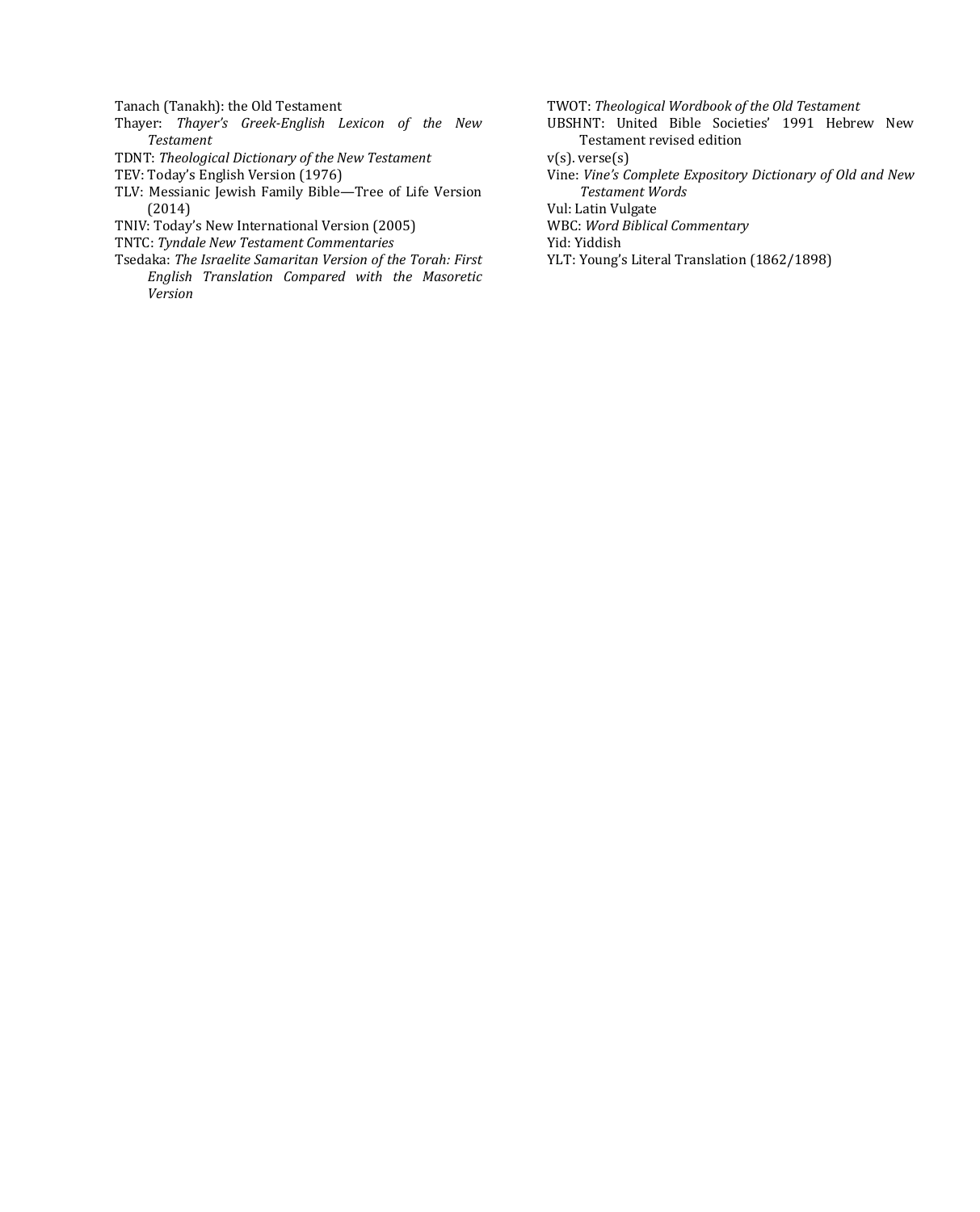Tanach (Tanakh): the Old Testament

- Thayer: *Thayer's Greek-English Lexicon of the New Testament*
- TDNT: *Theological Dictionary of the New Testament*
- TEV: Today's English Version (1976)
- TLV: Messianic Jewish Family Bible—Tree of Life Version (2014)
- TNIV: Today's New International Version (2005)
- TNTC: *Tyndale New Testament Commentaries*
- Tsedaka: *The Israelite Samaritan Version of the Torah: First English Translation Compared with the Masoretic Version*
- TWOT: *Theological Wordbook of the Old Testament*
- UBSHNT: United Bible Societies' 1991 Hebrew New Testament revised edition
- v(s). verse(s)
- Vine: *Vine's Complete Expository Dictionary of Old and New Testament Words*
- Vul: Latin Vulgate
- WBC: *Word Biblical Commentary*
- Yid: Yiddish
- YLT: Young's Literal Translation (1862/1898)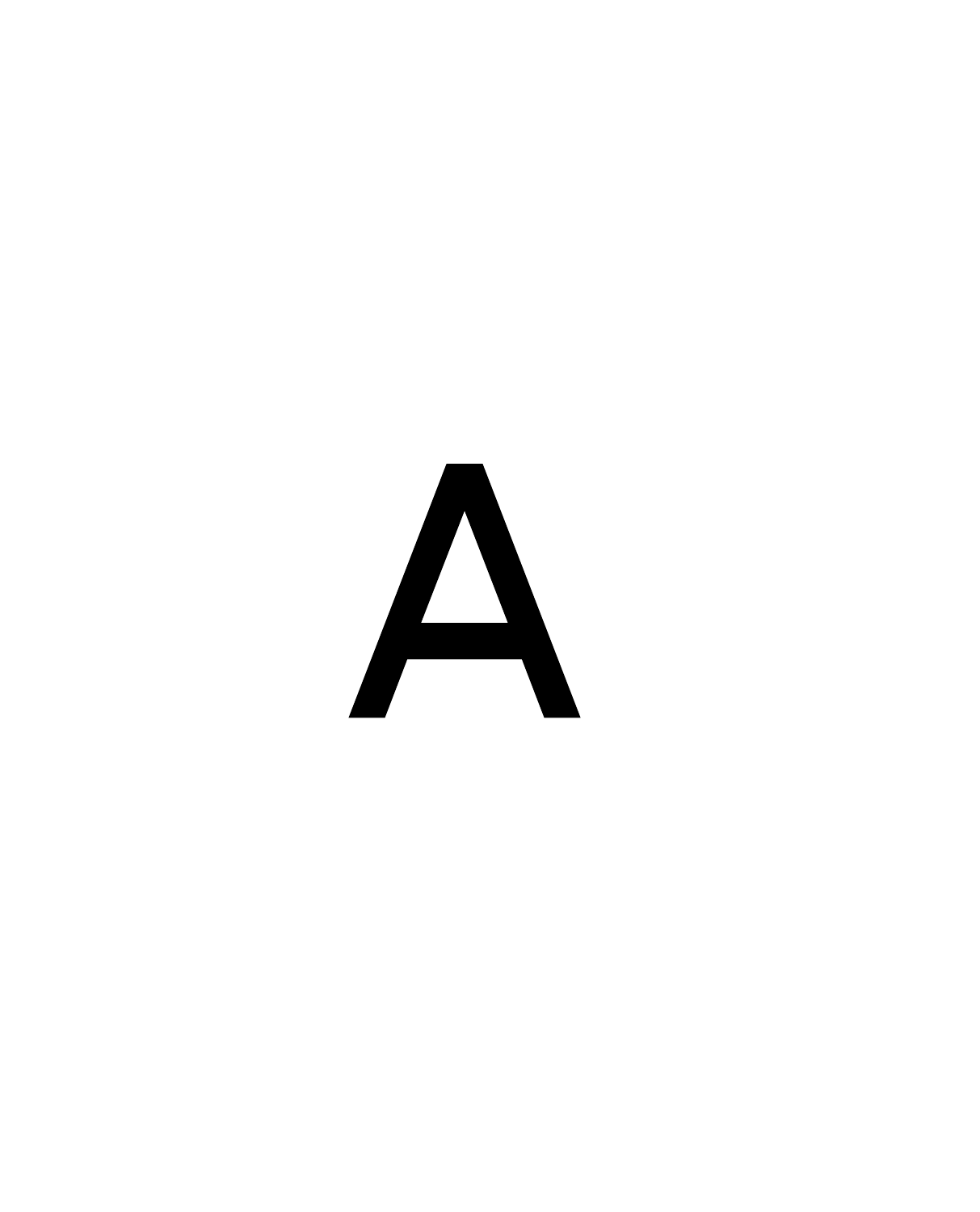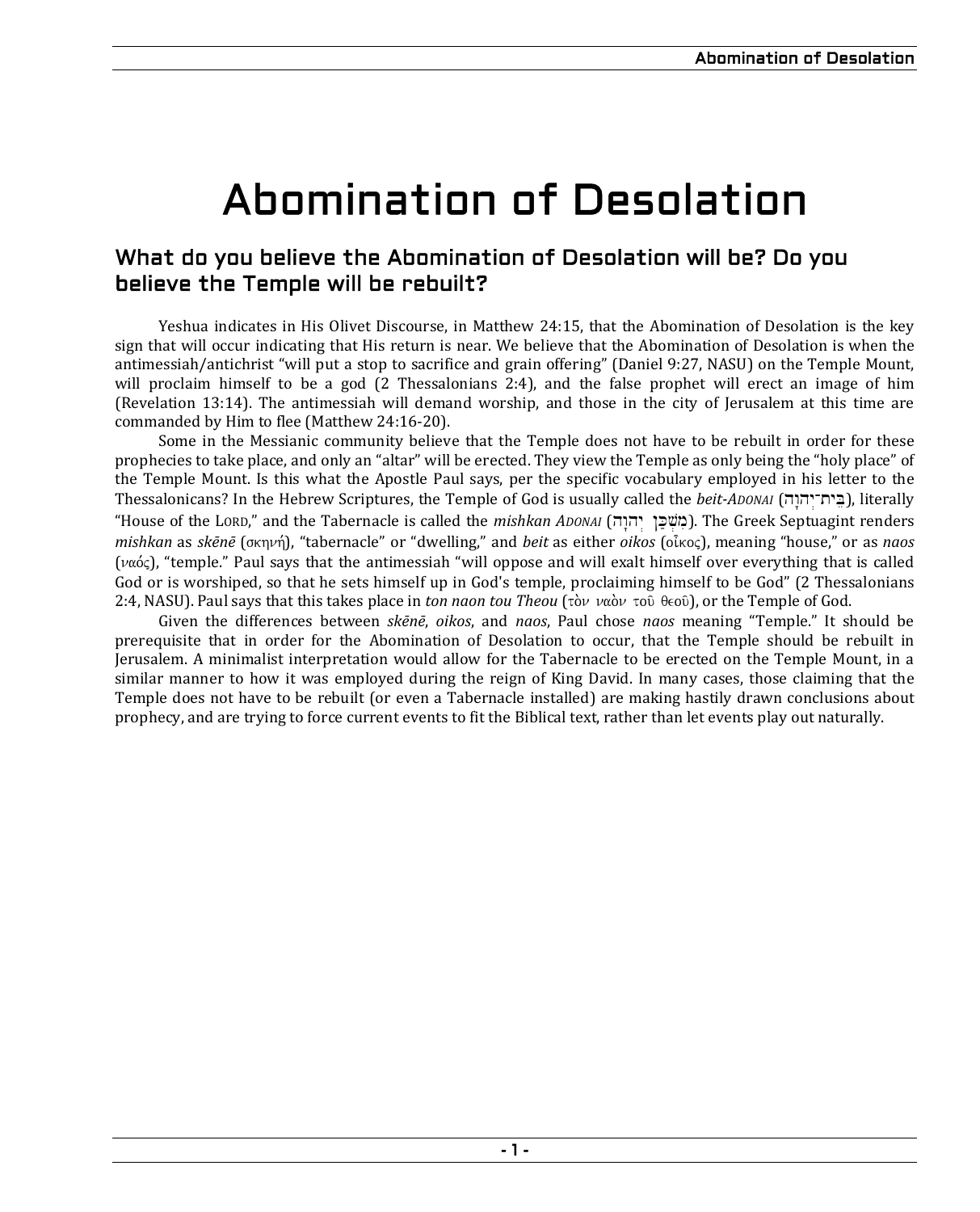# Abomination of Desolation

### What do you believe the Abomination of Desolation will be? Do you believe the Temple will be rebuilt?

Yeshua indicates in His Olivet Discourse, in Matthew 24:15, that the Abomination of Desolation is the key sign that will occur indicating that His return is near. We believe that the Abomination of Desolation is when the antimessiah/antichrist "will put a stop to sacrifice and grain offering" (Daniel 9:27, NASU) on the Temple Mount, will proclaim himself to be a god (2 Thessalonians 2:4), and the false prophet will erect an image of him (Revelation 13:14). The antimessiah will demand worship, and those in the city of Jerusalem at this time are commanded by Him to flee (Matthew 24:16-20).

Some in the Messianic community believe that the Temple does not have to be rebuilt in order for these prophecies to take place, and only an "altar" will be erected. They view the Temple as only being the "holy place" of the Temple Mount. Is this what the Apostle Paul says, per the specific vocabulary employed in his letter to the Thessalonicans? In the Hebrew Scriptures, the Temple of God is usually called the *beit-ADONAI* (בית־יהוה), literally "House of the LORD," and the Tabernacle is called the *mishkan ADONAI* (מִשְׁבַּן יְהוָה). The Greek Septuagint renders *mishkan* as *skēnē* (σκηνή), "tabernacle" or "dwelling," and *beit* as either *oikos* (οἶκος), meaning "house," or as *naos* ( $\nu\alpha\acute{o}c$ ), "temple." Paul says that the antimessiah "will oppose and will exalt himself over everything that is called God or is worshiped, so that he sets himself up in God's temple, proclaiming himself to be God" (2 Thessalonians 2:4, NASU). Paul says that this takes place in *ton naon tou Theou* (τὸν ναὸν τοῦ θεοῦ), or the Temple of God.

Given the differences between *skēnē*, *oikos*, and *naos*, Paul chose *naos* meaning "Temple." It should be prerequisite that in order for the Abomination of Desolation to occur, that the Temple should be rebuilt in Jerusalem. A minimalist interpretation would allow for the Tabernacle to be erected on the Temple Mount, in a similar manner to how it was employed during the reign of King David. In many cases, those claiming that the Temple does not have to be rebuilt (or even a Tabernacle installed) are making hastily drawn conclusions about prophecy, and are trying to force current events to fit the Biblical text, rather than let events play out naturally.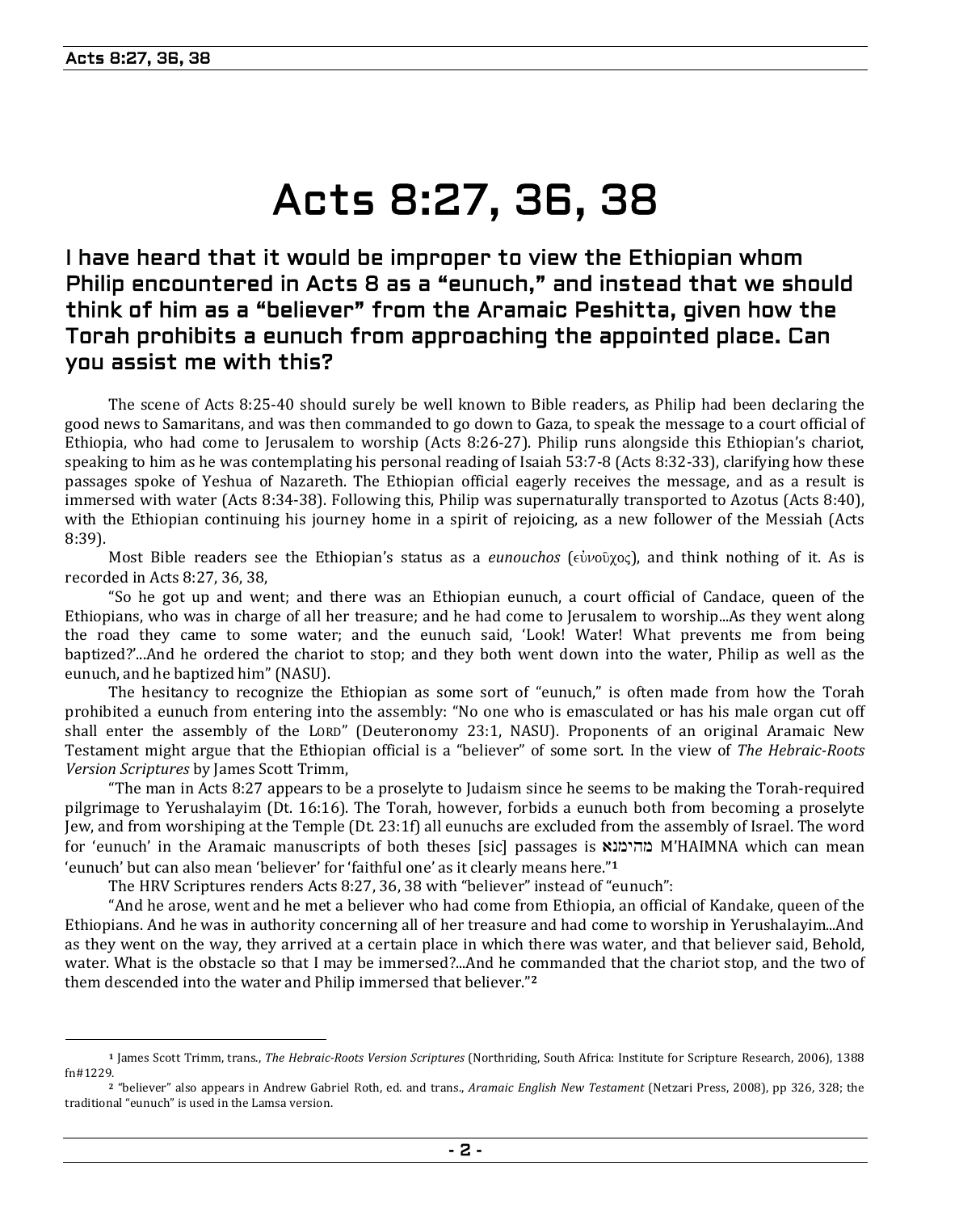# Acts 8:27, 36, 38

## I have heard that it would be improper to view the Ethiopian whom Philip encountered in Acts 8 as a "eunuch," and instead that we should think of him as a "believer" from the Aramaic Peshitta, given how the Torah prohibits a eunuch from approaching the appointed place. Can you assist me with this?

The scene of Acts 8:25-40 should surely be well known to Bible readers, as Philip had been declaring the good news to Samaritans, and was then commanded to go down to Gaza, to speak the message to a court official of Ethiopia, who had come to Jerusalem to worship (Acts 8:26-27). Philip runs alongside this Ethiopian's chariot, speaking to him as he was contemplating his personal reading of Isaiah 53:7-8 (Acts 8:32-33), clarifying how these passages spoke of Yeshua of Nazareth. The Ethiopian official eagerly receives the message, and as a result is immersed with water (Acts 8:34-38). Following this, Philip was supernaturally transported to Azotus (Acts 8:40), with the Ethiopian continuing his journey home in a spirit of rejoicing, as a new follower of the Messiah (Acts 8:39).

Most Bible readers see the Ethiopian's status as a *eunouchos* ( $e\hat{v}$ νοῦχος), and think nothing of it. As is recorded in Acts 8:27, 36, 38,

"So he got up and went; and there was an Ethiopian eunuch, a court official of Candace, queen of the Ethiopians, who was in charge of all her treasure; and he had come to Jerusalem to worship...As they went along the road they came to some water; and the eunuch said, 'Look! Water! What prevents me from being baptized?'...And he ordered the chariot to stop; and they both went down into the water, Philip as well as the eunuch, and he baptized him" (NASU).

The hesitancy to recognize the Ethiopian as some sort of "eunuch," is often made from how the Torah prohibited a eunuch from entering into the assembly: "No one who is emasculated or has his male organ cut off shall enter the assembly of the LORD" (Deuteronomy 23:1, NASU). Proponents of an original Aramaic New Testament might argue that the Ethiopian official is a "believer" of some sort. In the view of *The Hebraic-Roots Version Scriptures* by James Scott Trimm,

"The man in Acts 8:27 appears to be a proselyte to Judaism since he seems to be making the Torah-required pilgrimage to Yerushalayim (Dt. 16:16). The Torah, however, forbids a eunuch both from becoming a proselyte Jew, and from worshiping at the Temple (Dt. 23:1f) all eunuchs are excluded from the assembly of Israel. The word for 'eunuch' in the Aramaic manuscripts of both theses [sic] passages is  $M'HAIMNA$  which can mean 'eunuch' but can also mean 'believer' for 'faithful one' as it clearly means here."**<sup>1</sup>**

The HRV Scriptures renders Acts 8:27, 36, 38 with "believer" instead of "eunuch":

"And he arose, went and he met a believer who had come from Ethiopia, an official of Kandake, queen of the Ethiopians. And he was in authority concerning all of her treasure and had come to worship in Yerushalayim...And as they went on the way, they arrived at a certain place in which there was water, and that believer said, Behold, water. What is the obstacle so that I may be immersed?...And he commanded that the chariot stop, and the two of them descended into the water and Philip immersed that believer."**<sup>2</sup>**

**<sup>1</sup>** James Scott Trimm, trans., *The Hebraic-Roots Version Scriptures* (Northriding, South Africa: Institute for Scripture Research, 2006), 1388 fn#1229.

**<sup>2</sup>** "believer" also appears in Andrew Gabriel Roth, ed. and trans., *Aramaic English New Testament* (Netzari Press, 2008), pp 326, 328; the traditional "eunuch" is used in the Lamsa version.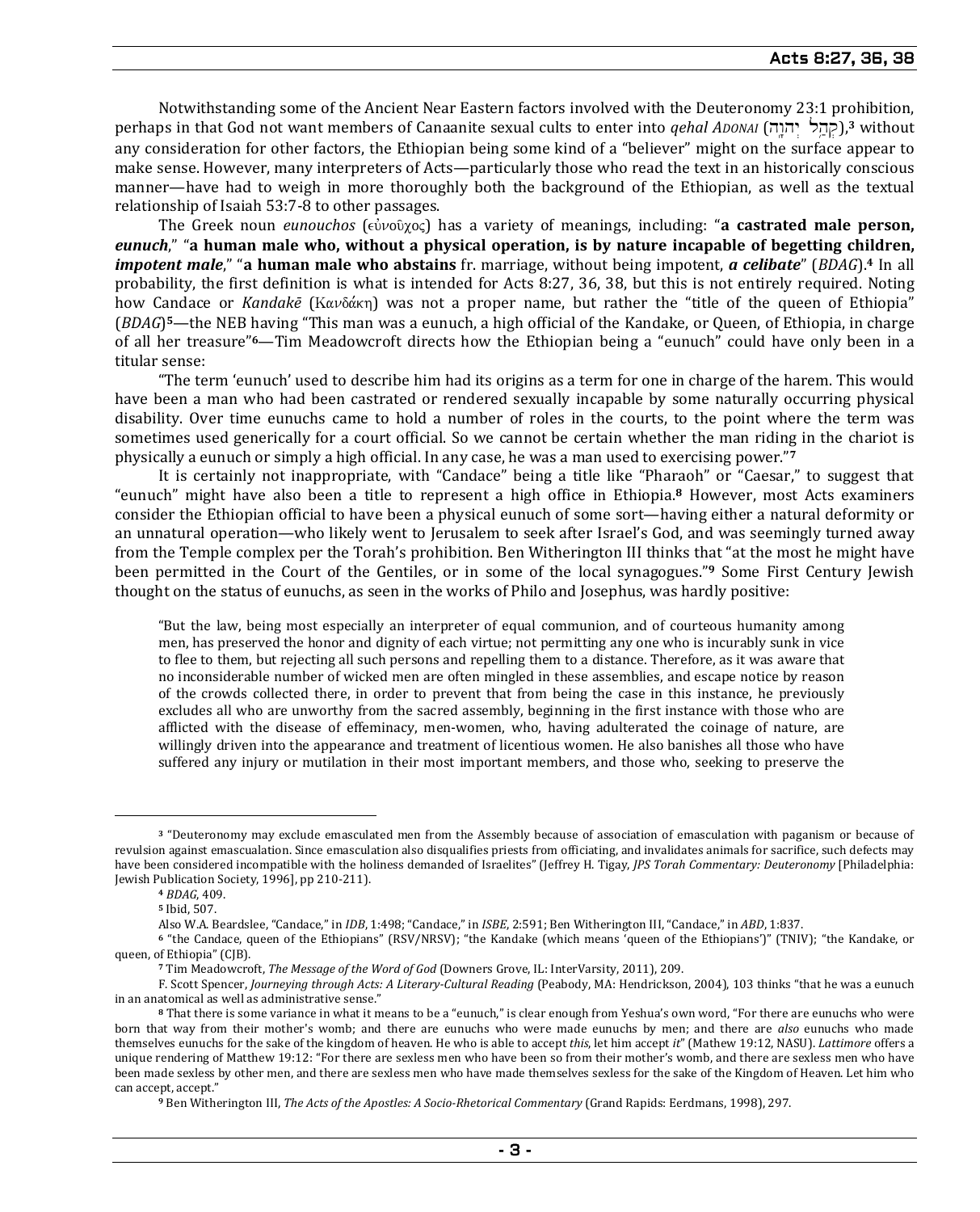Notwithstanding some of the Ancient Near Eastern factors involved with the Deuteronomy 23:1 prohibition, perhaps in that God not want members of Canaanite sexual cults to enter into *qehal ADONAI* (קהל יהוה),<sup>3</sup> without any consideration for other factors, the Ethiopian being some kind of a "believer" might on the surface appear to make sense. However, many interpreters of Acts—particularly those who read the text in an historically conscious manner—have had to weigh in more thoroughly both the background of the Ethiopian, as well as the textual relationship of Isaiah 53:7-8 to other passages.

The Greek noun *eunouchos* (εὐνοῦχος) has a variety of meanings, including: "**a castrated male person,** *eunuch*," "**a human male who, without a physical operation, is by nature incapable of begetting children,**  *impotent male*," "**a human male who abstains** fr. marriage, without being impotent, *a celibate*" (*BDAG*).**4** In all probability, the first definition is what is intended for Acts 8:27, 36, 38, but this is not entirely required. Noting how Candace or *Kandakē* (Κανδάκη) was not a proper name, but rather the "title of the queen of Ethiopia" (*BDAG*) **<sup>5</sup>**—the NEB having "This man was a eunuch, a high official of the Kandake, or Queen, of Ethiopia, in charge of all her treasure"**6**—Tim Meadowcroft directs how the Ethiopian being a "eunuch" could have only been in a titular sense:

"The term 'eunuch' used to describe him had its origins as a term for one in charge of the harem. This would have been a man who had been castrated or rendered sexually incapable by some naturally occurring physical disability. Over time eunuchs came to hold a number of roles in the courts, to the point where the term was sometimes used generically for a court official. So we cannot be certain whether the man riding in the chariot is physically a eunuch or simply a high official. In any case, he was a man used to exercising power."**<sup>7</sup>**

It is certainly not inappropriate, with "Candace" being a title like "Pharaoh" or "Caesar," to suggest that "eunuch" might have also been a title to represent a high office in Ethiopia.**8** However, most Acts examiners consider the Ethiopian official to have been a physical eunuch of some sort—having either a natural deformity or an unnatural operation—who likely went to Jerusalem to seek after Israel's God, and was seemingly turned away from the Temple complex per the Torah's prohibition. Ben Witherington III thinks that "at the most he might have been permitted in the Court of the Gentiles, or in some of the local synagogues."**9** Some First Century Jewish thought on the status of eunuchs, as seen in the works of Philo and Josephus, was hardly positive:

"But the law, being most especially an interpreter of equal communion, and of courteous humanity among men, has preserved the honor and dignity of each virtue; not permitting any one who is incurably sunk in vice to flee to them, but rejecting all such persons and repelling them to a distance. Therefore, as it was aware that no inconsiderable number of wicked men are often mingled in these assemblies, and escape notice by reason of the crowds collected there, in order to prevent that from being the case in this instance, he previously excludes all who are unworthy from the sacred assembly, beginning in the first instance with those who are afflicted with the disease of effeminacy, men-women, who, having adulterated the coinage of nature, are willingly driven into the appearance and treatment of licentious women. He also banishes all those who have suffered any injury or mutilation in their most important members, and those who, seeking to preserve the

**<sup>3</sup>** "Deuteronomy may exclude emasculated men from the Assembly because of association of emasculation with paganism or because of revulsion against emascualation. Since emasculation also disqualifies priests from officiating, and invalidates animals for sacrifice, such defects may have been considered incompatible with the holiness demanded of Israelites" (Jeffrey H. Tigay, *JPS Torah Commentary: Deuteronomy* [Philadelphia: Jewish Publication Society, 1996], pp 210-211).

**<sup>4</sup>** *BDAG*, 409.

**<sup>5</sup>** Ibid, 507.

Also W.A. Beardslee, "Candace," in *IDB*, 1:498; "Candace," in *ISBE*, 2:591; Ben Witherington III, "Candace," in *ABD*, 1:837.

**<sup>6</sup>** "the Candace, queen of the Ethiopians" (RSV/NRSV); "the Kandake (which means 'queen of the Ethiopians')" (TNIV); "the Kandake, or queen, of Ethiopia" (CJB).

**<sup>7</sup>** Tim Meadowcroft, *The Message of the Word of God* (Downers Grove, IL: InterVarsity, 2011), 209.

F. Scott Spencer, *Journeying through Acts: A Literary-Cultural Reading* (Peabody, MA: Hendrickson, 2004), 103 thinks "that he was a eunuch in an anatomical as well as administrative sense."

**<sup>8</sup>** That there is some variance in what it means to be a "eunuch," is clear enough from Yeshua's own word, "For there are eunuchs who were born that way from their mother's womb; and there are eunuchs who were made eunuchs by men; and there are *also* eunuchs who made themselves eunuchs for the sake of the kingdom of heaven. He who is able to accept *this*, let him accept *it*" (Mathew 19:12, NASU). *Lattimore* offers a unique rendering of Matthew 19:12: "For there are sexless men who have been so from their mother's womb, and there are sexless men who have been made sexless by other men, and there are sexless men who have made themselves sexless for the sake of the Kingdom of Heaven. Let him who can accept, accept."

**<sup>9</sup>** Ben Witherington III, *The Acts of the Apostles: A Socio-Rhetorical Commentary* (Grand Rapids: Eerdmans, 1998), 297.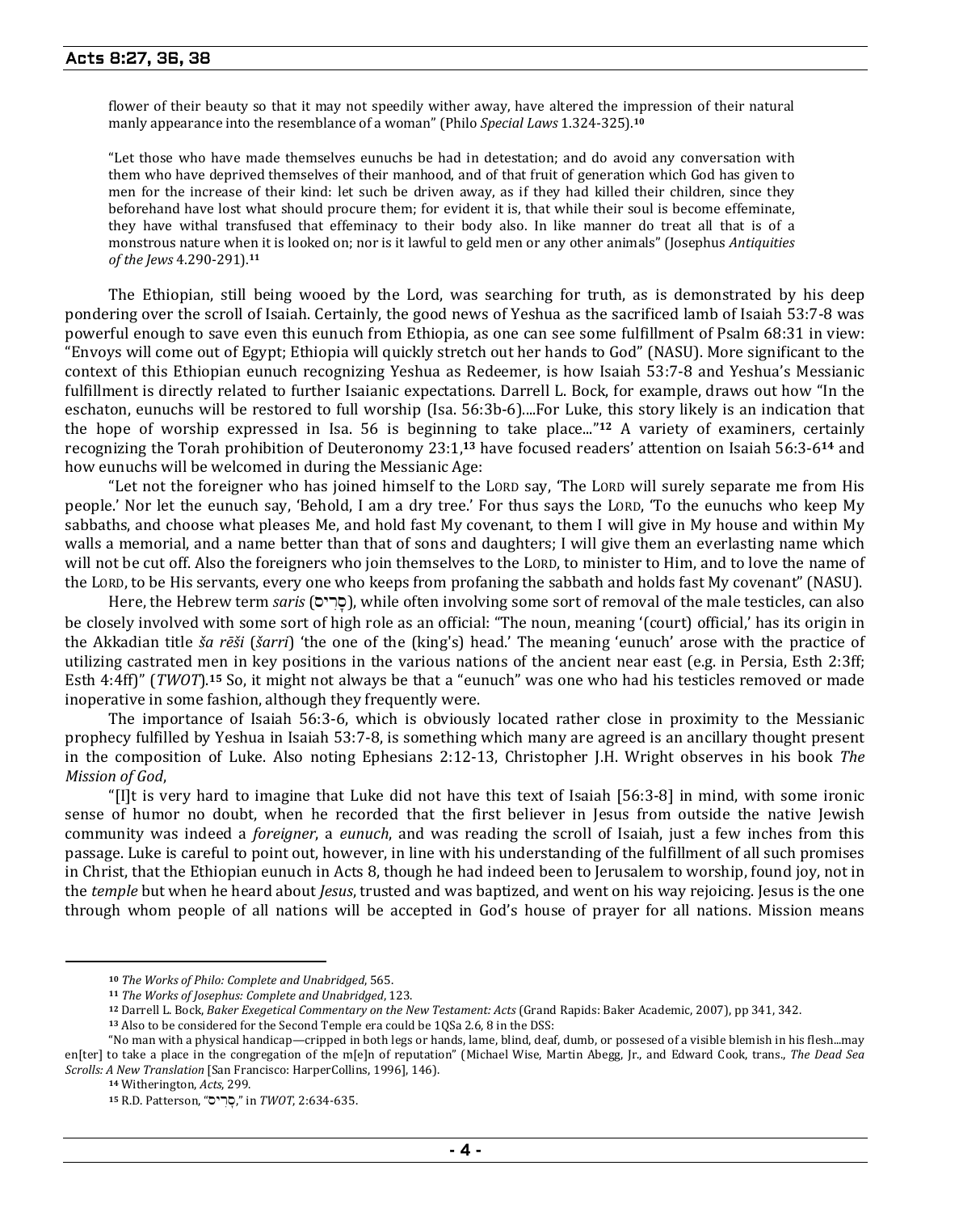flower of their beauty so that it may not speedily wither away, have altered the impression of their natural manly appearance into the resemblance of a woman" (Philo *Special Laws* 1.324-325).**<sup>10</sup>**

"Let those who have made themselves eunuchs be had in detestation; and do avoid any conversation with them who have deprived themselves of their manhood, and of that fruit of generation which God has given to men for the increase of their kind: let such be driven away, as if they had killed their children, since they beforehand have lost what should procure them; for evident it is, that while their soul is become effeminate, they have withal transfused that effeminacy to their body also. In like manner do treat all that is of a monstrous nature when it is looked on; nor is it lawful to geld men or any other animals" (Josephus *Antiquities of the Jews* 4.290-291).**<sup>11</sup>**

The Ethiopian, still being wooed by the Lord, was searching for truth, as is demonstrated by his deep pondering over the scroll of Isaiah. Certainly, the good news of Yeshua as the sacrificed lamb of Isaiah 53:7-8 was powerful enough to save even this eunuch from Ethiopia, as one can see some fulfillment of Psalm 68:31 in view: "Envoys will come out of Egypt; Ethiopia will quickly stretch out her hands to God" (NASU). More significant to the context of this Ethiopian eunuch recognizing Yeshua as Redeemer, is how Isaiah 53:7-8 and Yeshua's Messianic fulfillment is directly related to further Isaianic expectations. Darrell L. Bock, for example, draws out how "In the eschaton, eunuchs will be restored to full worship (Isa. 56:3b-6)....For Luke, this story likely is an indication that the hope of worship expressed in Isa. 56 is beginning to take place..."**12** A variety of examiners, certainly recognizing the Torah prohibition of Deuteronomy 23:1, **<sup>13</sup>** have focused readers' attention on Isaiah 56:3-6**14** and how eunuchs will be welcomed in during the Messianic Age:

"Let not the foreigner who has joined himself to the LORD say, 'The LORD will surely separate me from His people.' Nor let the eunuch say, 'Behold, I am a dry tree.' For thus says the LORD, 'To the eunuchs who keep My sabbaths, and choose what pleases Me, and hold fast My covenant, to them I will give in My house and within My walls a memorial, and a name better than that of sons and daughters; I will give them an everlasting name which will not be cut off. Also the foreigners who join themselves to the LORD, to minister to Him, and to love the name of the LORD, to be His servants, every one who keeps from profaning the sabbath and holds fast My covenant" (NASU).

Here, the Hebrew term *saris* (סרים), while often involving some sort of removal of the male testicles, can also be closely involved with some sort of high role as an official: "The noun, meaning '(court) official,' has its origin in the Akkadian title *ša rēši* (*šarri*) 'the one of the (king's) head.' The meaning 'eunuch' arose with the practice of utilizing castrated men in key positions in the various nations of the ancient near east (e.g. in Persia, Esth 2:3ff; Esth 4:4ff)" (*TWOT*).**15** So, it might not always be that a "eunuch" was one who had his testicles removed or made inoperative in some fashion, although they frequently were.

The importance of Isaiah 56:3-6, which is obviously located rather close in proximity to the Messianic prophecy fulfilled by Yeshua in Isaiah 53:7-8, is something which many are agreed is an ancillary thought present in the composition of Luke. Also noting Ephesians 2:12-13, Christopher J.H. Wright observes in his book *The Mission of God*,

"[I]t is very hard to imagine that Luke did not have this text of Isaiah [56:3-8] in mind, with some ironic sense of humor no doubt, when he recorded that the first believer in Jesus from outside the native Jewish community was indeed a *foreigner*, a *eunuch*, and was reading the scroll of Isaiah, just a few inches from this passage. Luke is careful to point out, however, in line with his understanding of the fulfillment of all such promises in Christ, that the Ethiopian eunuch in Acts 8, though he had indeed been to Jerusalem to worship, found joy, not in the *temple* but when he heard about *Jesus*, trusted and was baptized, and went on his way rejoicing. Jesus is the one through whom people of all nations will be accepted in God's house of prayer for all nations. Mission means

**<sup>10</sup>** *The Works of Philo: Complete and Unabridged*, 565.

**<sup>11</sup>** *The Works of Josephus: Complete and Unabridged*, 123.

**<sup>12</sup>** Darrell L. Bock, *Baker Exegetical Commentary on the New Testament: Acts* (Grand Rapids: Baker Academic, 2007), pp 341, 342.

**<sup>13</sup>** Also to be considered for the Second Temple era could be 1QSa 2.6, 8 in the DSS:

<sup>&</sup>quot;No man with a physical handicap—cripped in both legs or hands, lame, blind, deaf, dumb, or possesed of a visible blemish in his flesh...may en[ter] to take a place in the congregation of the m[e]n of reputation" (Michael Wise, Martin Abegg, Jr., and Edward Cook, trans., *The Dead Sea Scrolls: A New Translation* [San Francisco: HarperCollins, 1996], 146).

**<sup>14</sup>** Witherington, *Acts*, 299.

**<sup>15</sup>** R.D. Patterson, "syr Is'," in *TWOT*, 2:634-635.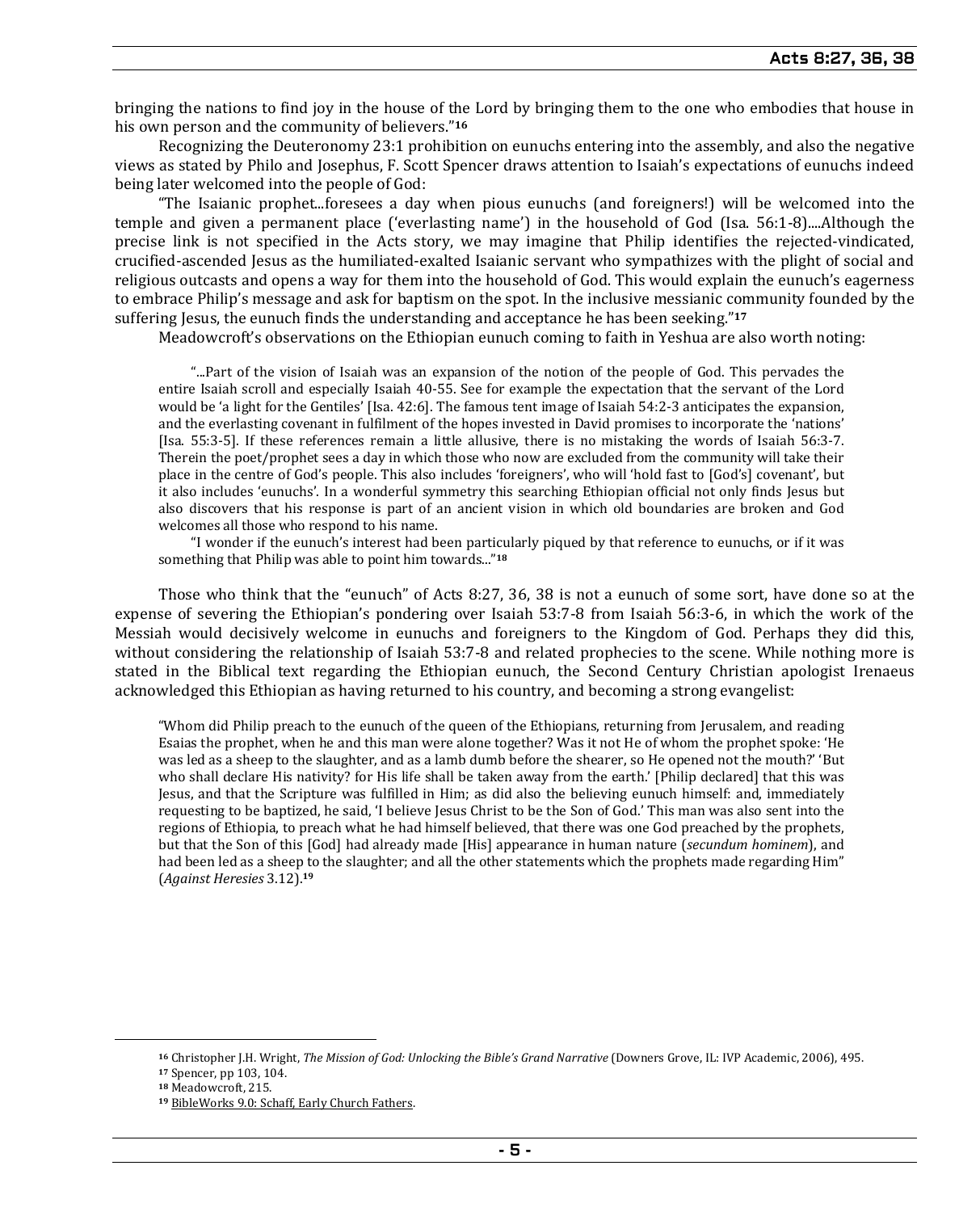bringing the nations to find joy in the house of the Lord by bringing them to the one who embodies that house in his own person and the community of believers."**<sup>16</sup>**

Recognizing the Deuteronomy 23:1 prohibition on eunuchs entering into the assembly, and also the negative views as stated by Philo and Josephus, F. Scott Spencer draws attention to Isaiah's expectations of eunuchs indeed being later welcomed into the people of God:

"The Isaianic prophet...foresees a day when pious eunuchs (and foreigners!) will be welcomed into the temple and given a permanent place ('everlasting name') in the household of God (Isa. 56:1-8)....Although the precise link is not specified in the Acts story, we may imagine that Philip identifies the rejected-vindicated, crucified-ascended Jesus as the humiliated-exalted Isaianic servant who sympathizes with the plight of social and religious outcasts and opens a way for them into the household of God. This would explain the eunuch's eagerness to embrace Philip's message and ask for baptism on the spot. In the inclusive messianic community founded by the suffering Jesus, the eunuch finds the understanding and acceptance he has been seeking."**<sup>17</sup>**

Meadowcroft's observations on the Ethiopian eunuch coming to faith in Yeshua are also worth noting:

"...Part of the vision of Isaiah was an expansion of the notion of the people of God. This pervades the entire Isaiah scroll and especially Isaiah 40-55. See for example the expectation that the servant of the Lord would be 'a light for the Gentiles' [Isa. 42:6]. The famous tent image of Isaiah 54:2-3 anticipates the expansion, and the everlasting covenant in fulfilment of the hopes invested in David promises to incorporate the 'nations' [Isa. 55:3-5]. If these references remain a little allusive, there is no mistaking the words of Isaiah 56:3-7. Therein the poet/prophet sees a day in which those who now are excluded from the community will take their place in the centre of God's people. This also includes 'foreigners', who will 'hold fast to [God's] covenant', but it also includes 'eunuchs'. In a wonderful symmetry this searching Ethiopian official not only finds Jesus but also discovers that his response is part of an ancient vision in which old boundaries are broken and God welcomes all those who respond to his name.

"I wonder if the eunuch's interest had been particularly piqued by that reference to eunuchs, or if it was something that Philip was able to point him towards..."**<sup>18</sup>**

Those who think that the "eunuch" of Acts 8:27, 36, 38 is not a eunuch of some sort, have done so at the expense of severing the Ethiopian's pondering over Isaiah 53:7-8 from Isaiah 56:3-6, in which the work of the Messiah would decisively welcome in eunuchs and foreigners to the Kingdom of God. Perhaps they did this, without considering the relationship of Isaiah 53:7-8 and related prophecies to the scene. While nothing more is stated in the Biblical text regarding the Ethiopian eunuch, the Second Century Christian apologist Irenaeus acknowledged this Ethiopian as having returned to his country, and becoming a strong evangelist:

"Whom did Philip preach to the eunuch of the queen of the Ethiopians, returning from Jerusalem, and reading Esaias the prophet, when he and this man were alone together? Was it not He of whom the prophet spoke: 'He was led as a sheep to the slaughter, and as a lamb dumb before the shearer, so He opened not the mouth?' 'But who shall declare His nativity? for His life shall be taken away from the earth.' [Philip declared] that this was Jesus, and that the Scripture was fulfilled in Him; as did also the believing eunuch himself: and, immediately requesting to be baptized, he said, 'I believe Jesus Christ to be the Son of God.' This man was also sent into the regions of Ethiopia, to preach what he had himself believed, that there was one God preached by the prophets, but that the Son of this [God] had already made [His] appearance in human nature (*secundum hominem*), and had been led as a sheep to the slaughter; and all the other statements which the prophets made regarding Him" (*Against Heresies* 3.12).**<sup>19</sup>**

**<sup>16</sup>** Christopher J.H. Wright, *The Mission of God: Unlocking the Bible's Grand Narrative* (Downers Grove, IL: IVP Academic, 2006), 495.

**<sup>17</sup>** Spencer, pp 103, 104.

**<sup>18</sup>** Meadowcroft, 215.

**<sup>19</sup>** BibleWorks 9.0: Schaff, Early Church Fathers.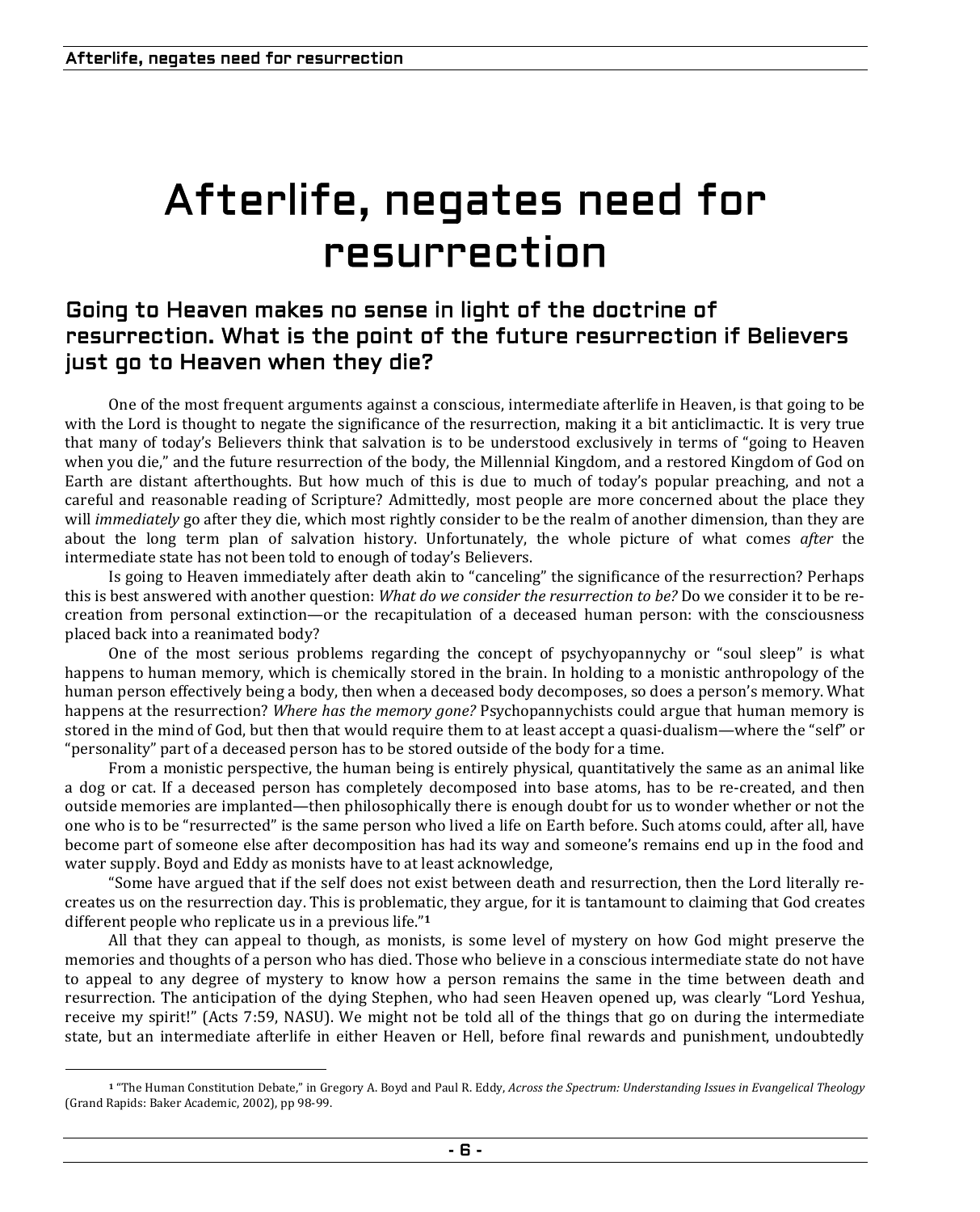# Afterlife, negates need for resurrection

## Going to Heaven makes no sense in light of the doctrine of resurrection. What is the point of the future resurrection if Believers just go to Heaven when they die?

One of the most frequent arguments against a conscious, intermediate afterlife in Heaven, is that going to be with the Lord is thought to negate the significance of the resurrection, making it a bit anticlimactic. It is very true that many of today's Believers think that salvation is to be understood exclusively in terms of "going to Heaven when you die," and the future resurrection of the body, the Millennial Kingdom, and a restored Kingdom of God on Earth are distant afterthoughts. But how much of this is due to much of today's popular preaching, and not a careful and reasonable reading of Scripture? Admittedly, most people are more concerned about the place they will *immediately* go after they die, which most rightly consider to be the realm of another dimension, than they are about the long term plan of salvation history. Unfortunately, the whole picture of what comes *after* the intermediate state has not been told to enough of today's Believers.

Is going to Heaven immediately after death akin to "canceling" the significance of the resurrection? Perhaps this is best answered with another question: *What do we consider the resurrection to be?* Do we consider it to be recreation from personal extinction—or the recapitulation of a deceased human person: with the consciousness placed back into a reanimated body?

One of the most serious problems regarding the concept of psychyopannychy or "soul sleep" is what happens to human memory, which is chemically stored in the brain. In holding to a monistic anthropology of the human person effectively being a body, then when a deceased body decomposes, so does a person's memory. What happens at the resurrection? *Where has the memory gone?* Psychopannychists could argue that human memory is stored in the mind of God, but then that would require them to at least accept a quasi-dualism—where the "self" or "personality" part of a deceased person has to be stored outside of the body for a time.

From a monistic perspective, the human being is entirely physical, quantitatively the same as an animal like a dog or cat. If a deceased person has completely decomposed into base atoms, has to be re-created, and then outside memories are implanted—then philosophically there is enough doubt for us to wonder whether or not the one who is to be "resurrected" is the same person who lived a life on Earth before. Such atoms could, after all, have become part of someone else after decomposition has had its way and someone's remains end up in the food and water supply. Boyd and Eddy as monists have to at least acknowledge,

"Some have argued that if the self does not exist between death and resurrection, then the Lord literally recreates us on the resurrection day. This is problematic, they argue, for it is tantamount to claiming that God creates different people who replicate us in a previous life."**<sup>1</sup>**

All that they can appeal to though, as monists, is some level of mystery on how God might preserve the memories and thoughts of a person who has died. Those who believe in a conscious intermediate state do not have to appeal to any degree of mystery to know how a person remains the same in the time between death and resurrection. The anticipation of the dying Stephen, who had seen Heaven opened up, was clearly "Lord Yeshua, receive my spirit!" (Acts 7:59, NASU). We might not be told all of the things that go on during the intermediate state, but an intermediate afterlife in either Heaven or Hell, before final rewards and punishment, undoubtedly

**<sup>1</sup>** "The Human Constitution Debate," in Gregory A. Boyd and Paul R. Eddy, *Across the Spectrum: Understanding Issues in Evangelical Theology* (Grand Rapids: Baker Academic, 2002), pp 98-99.